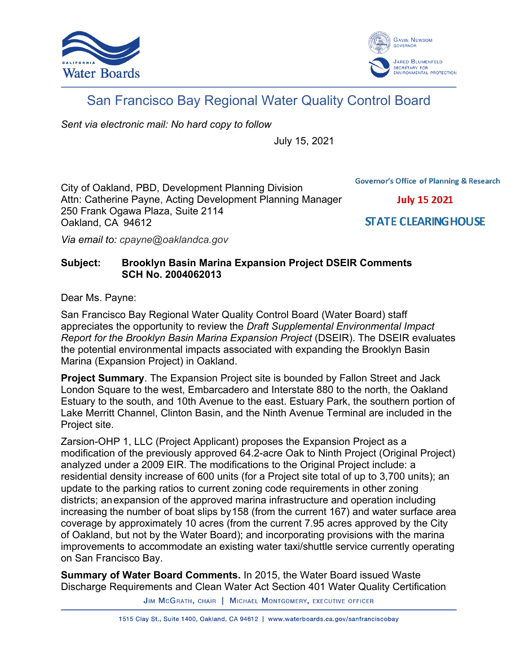



# San Francisco Bay Regional Water Quality Control Board

*Sent via electronic mail: No hard copy to follow*

July 15, 2021

**Governor's Office of Planning & Research** 

City of Oakland, PBD, Development Planning Division Attn: Catherine Payne, Acting Development Planning Manager 250 Frank Ogawa Plaza, Suite 2114 Oakland, CA 94612

**July 15 2021** 

**STATE CLEARING HOUSE** 

*Via email to: cpayne@oaklandca.gov*

# **Subject: Brooklyn Basin Marina Expansion Project DSEIR Comments SCH No. 2004062013**

Dear Ms. Payne:

San Francisco Bay Regional Water Quality Control Board (Water Board) staff appreciates the opportunity to review the *Draft Supplemental Environmental Impact Report for the Brooklyn Basin Marina Expansion Project* (DSEIR). The DSEIR evaluates the potential environmental impacts associated with expanding the Brooklyn Basin Marina (Expansion Project) in Oakland.

**Project Summary**. The Expansion Project site is bounded by Fallon Street and Jack London Square to the west, Embarcadero and Interstate 880 to the north, the Oakland Estuary to the south, and 10th Avenue to the east. Estuary Park, the southern portion of Lake Merritt Channel, Clinton Basin, and the Ninth Avenue Terminal are included in the Project site.

Zarsion-OHP 1, LLC (Project Applicant) proposes the Expansion Project as a modification of the previously approved 64.2-acre Oak to Ninth Project (Original Project) analyzed under a 2009 EIR. The modifications to the Original Project include: a residential density increase of 600 units (for a Project site total of up to 3,700 units); an update to the parking ratios to current zoning code requirements in other zoning districts; anexpansion of the approved marina infrastructure and operation including increasing the number of boat slips by158 (from the current 167) and water surface area coverage by approximately 10 acres (from the current 7.95 acres approved by the City of Oakland, but not by the Water Board); and incorporating provisions with the marina improvements to accommodate an existing water taxi/shuttle service currently operating on San Francisco Bay.

**Summary of Water Board Comments.** In 2015, the Water Board issued Waste Discharge Requirements and Clean Water Act Section 401 Water Quality Certification

JIM MCGRATH, CHAIR | MICHAEL MONTGOMERY, EXECUTIVE OFFICER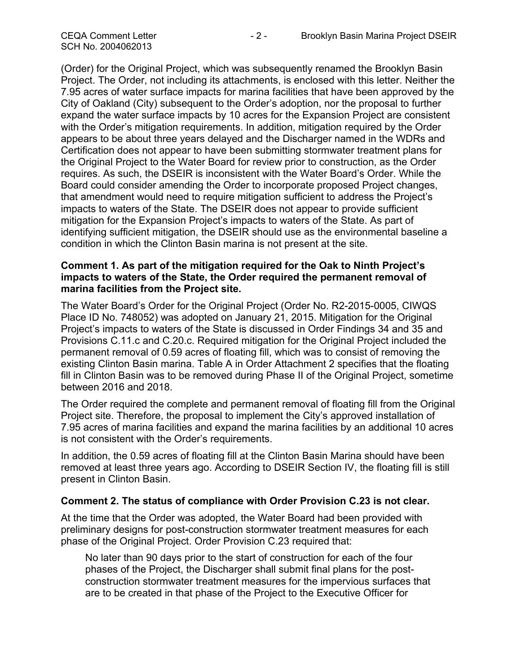(Order) for the Original Project, which was subsequently renamed the Brooklyn Basin Project. The Order, not including its attachments, is enclosed with this letter. Neither the 7.95 acres of water surface impacts for marina facilities that have been approved by the City of Oakland (City) subsequent to the Order's adoption, nor the proposal to further expand the water surface impacts by 10 acres for the Expansion Project are consistent with the Order's mitigation requirements. In addition, mitigation required by the Order appears to be about three years delayed and the Discharger named in the WDRs and Certification does not appear to have been submitting stormwater treatment plans for the Original Project to the Water Board for review prior to construction, as the Order requires. As such, the DSEIR is inconsistent with the Water Board's Order. While the Board could consider amending the Order to incorporate proposed Project changes, that amendment would need to require mitigation sufficient to address the Project's impacts to waters of the State. The DSEIR does not appear to provide sufficient mitigation for the Expansion Project's impacts to waters of the State. As part of identifying sufficient mitigation, the DSEIR should use as the environmental baseline a condition in which the Clinton Basin marina is not present at the site.

# **Comment 1. As part of the mitigation required for the Oak to Ninth Project's impacts to waters of the State, the Order required the permanent removal of marina facilities from the Project site.**

The Water Board's Order for the Original Project (Order No. R2-2015-0005, CIWQS Place ID No. 748052) was adopted on January 21, 2015. Mitigation for the Original Project's impacts to waters of the State is discussed in Order Findings 34 and 35 and Provisions C.11.c and C.20.c. Required mitigation for the Original Project included the permanent removal of 0.59 acres of floating fill, which was to consist of removing the existing Clinton Basin marina. Table A in Order Attachment 2 specifies that the floating fill in Clinton Basin was to be removed during Phase II of the Original Project, sometime between 2016 and 2018.

The Order required the complete and permanent removal of floating fill from the Original Project site. Therefore, the proposal to implement the City's approved installation of 7.95 acres of marina facilities and expand the marina facilities by an additional 10 acres is not consistent with the Order's requirements.

In addition, the 0.59 acres of floating fill at the Clinton Basin Marina should have been removed at least three years ago. According to DSEIR Section IV, the floating fill is still present in Clinton Basin.

# **Comment 2. The status of compliance with Order Provision C.23 is not clear.**

At the time that the Order was adopted, the Water Board had been provided with preliminary designs for post-construction stormwater treatment measures for each phase of the Original Project. Order Provision C.23 required that:

No later than 90 days prior to the start of construction for each of the four phases of the Project, the Discharger shall submit final plans for the postconstruction stormwater treatment measures for the impervious surfaces that are to be created in that phase of the Project to the Executive Officer for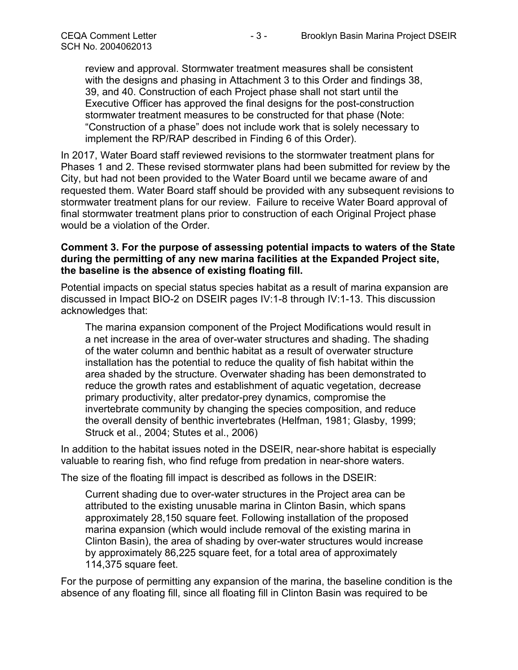review and approval. Stormwater treatment measures shall be consistent with the designs and phasing in Attachment 3 to this Order and findings 38, 39, and 40. Construction of each Project phase shall not start until the Executive Officer has approved the final designs for the post-construction stormwater treatment measures to be constructed for that phase (Note: "Construction of a phase" does not include work that is solely necessary to implement the RP/RAP described in Finding 6 of this Order).

In 2017, Water Board staff reviewed revisions to the stormwater treatment plans for Phases 1 and 2. These revised stormwater plans had been submitted for review by the City, but had not been provided to the Water Board until we became aware of and requested them. Water Board staff should be provided with any subsequent revisions to stormwater treatment plans for our review. Failure to receive Water Board approval of final stormwater treatment plans prior to construction of each Original Project phase would be a violation of the Order.

# **Comment 3. For the purpose of assessing potential impacts to waters of the State during the permitting of any new marina facilities at the Expanded Project site, the baseline is the absence of existing floating fill.**

Potential impacts on special status species habitat as a result of marina expansion are discussed in Impact BIO-2 on DSEIR pages IV:1-8 through IV:1-13. This discussion acknowledges that:

The marina expansion component of the Project Modifications would result in a net increase in the area of over-water structures and shading. The shading of the water column and benthic habitat as a result of overwater structure installation has the potential to reduce the quality of fish habitat within the area shaded by the structure. Overwater shading has been demonstrated to reduce the growth rates and establishment of aquatic vegetation, decrease primary productivity, alter predator-prey dynamics, compromise the invertebrate community by changing the species composition, and reduce the overall density of benthic invertebrates (Helfman, 1981; Glasby, 1999; Struck et al., 2004; Stutes et al., 2006)

In addition to the habitat issues noted in the DSEIR, near-shore habitat is especially valuable to rearing fish, who find refuge from predation in near-shore waters.

The size of the floating fill impact is described as follows in the DSEIR:

Current shading due to over-water structures in the Project area can be attributed to the existing unusable marina in Clinton Basin, which spans approximately 28,150 square feet. Following installation of the proposed marina expansion (which would include removal of the existing marina in Clinton Basin), the area of shading by over-water structures would increase by approximately 86,225 square feet, for a total area of approximately 114,375 square feet.

For the purpose of permitting any expansion of the marina, the baseline condition is the absence of any floating fill, since all floating fill in Clinton Basin was required to be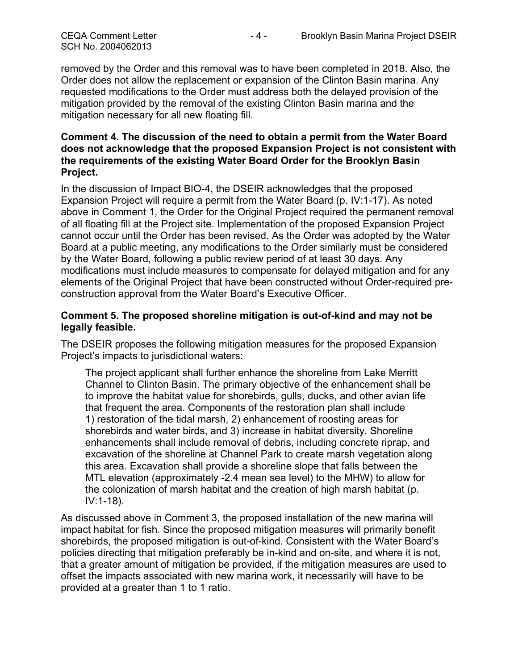removed by the Order and this removal was to have been completed in 2018. Also, the Order does not allow the replacement or expansion of the Clinton Basin marina. Any requested modifications to the Order must address both the delayed provision of the mitigation provided by the removal of the existing Clinton Basin marina and the mitigation necessary for all new floating fill.

#### **Comment 4. The discussion of the need to obtain a permit from the Water Board does not acknowledge that the proposed Expansion Project is not consistent with the requirements of the existing Water Board Order for the Brooklyn Basin Project.**

In the discussion of Impact BIO-4, the DSEIR acknowledges that the proposed Expansion Project will require a permit from the Water Board (p. IV:1-17). As noted above in Comment 1, the Order for the Original Project required the permanent removal of all floating fill at the Project site. Implementation of the proposed Expansion Project cannot occur until the Order has been revised. As the Order was adopted by the Water Board at a public meeting, any modifications to the Order similarly must be considered by the Water Board, following a public review period of at least 30 days. Any modifications must include measures to compensate for delayed mitigation and for any elements of the Original Project that have been constructed without Order-required preconstruction approval from the Water Board's Executive Officer.

# **Comment 5. The proposed shoreline mitigation is out-of-kind and may not be legally feasible.**

The DSEIR proposes the following mitigation measures for the proposed Expansion Project's impacts to jurisdictional waters:

The project applicant shall further enhance the shoreline from Lake Merritt Channel to Clinton Basin. The primary objective of the enhancement shall be to improve the habitat value for shorebirds, gulls, ducks, and other avian life that frequent the area. Components of the restoration plan shall include 1) restoration of the tidal marsh, 2) enhancement of roosting areas for shorebirds and water birds, and 3) increase in habitat diversity. Shoreline enhancements shall include removal of debris, including concrete riprap, and excavation of the shoreline at Channel Park to create marsh vegetation along this area. Excavation shall provide a shoreline slope that falls between the MTL elevation (approximately -2.4 mean sea level) to the MHW) to allow for the colonization of marsh habitat and the creation of high marsh habitat (p. IV:1-18).

As discussed above in Comment 3, the proposed installation of the new marina will impact habitat for fish. Since the proposed mitigation measures will primarily benefit shorebirds, the proposed mitigation is out-of-kind. Consistent with the Water Board's policies directing that mitigation preferably be in-kind and on-site, and where it is not, that a greater amount of mitigation be provided, if the mitigation measures are used to offset the impacts associated with new marina work, it necessarily will have to be provided at a greater than 1 to 1 ratio.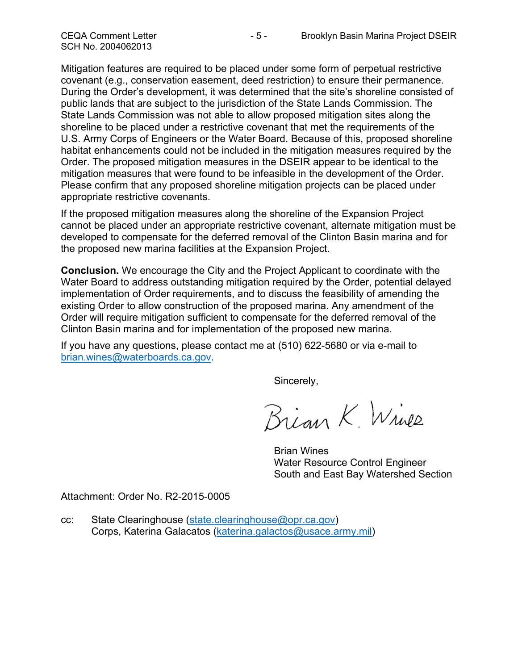Mitigation features are required to be placed under some form of perpetual restrictive covenant (e.g., conservation easement, deed restriction) to ensure their permanence. During the Order's development, it was determined that the site's shoreline consisted of public lands that are subject to the jurisdiction of the State Lands Commission. The State Lands Commission was not able to allow proposed mitigation sites along the shoreline to be placed under a restrictive covenant that met the requirements of the U.S. Army Corps of Engineers or the Water Board. Because of this, proposed shoreline habitat enhancements could not be included in the mitigation measures required by the Order. The proposed mitigation measures in the DSEIR appear to be identical to the mitigation measures that were found to be infeasible in the development of the Order. Please confirm that any proposed shoreline mitigation projects can be placed under appropriate restrictive covenants.

If the proposed mitigation measures along the shoreline of the Expansion Project cannot be placed under an appropriate restrictive covenant, alternate mitigation must be developed to compensate for the deferred removal of the Clinton Basin marina and for the proposed new marina facilities at the Expansion Project.

**Conclusion.** We encourage the City and the Project Applicant to coordinate with the Water Board to address outstanding mitigation required by the Order, potential delayed implementation of Order requirements, and to discuss the feasibility of amending the existing Order to allow construction of the proposed marina. Any amendment of the Order will require mitigation sufficient to compensate for the deferred removal of the Clinton Basin marina and for implementation of the proposed new marina.

If you have any questions, please contact me at (510) 622-5680 or via e-mail to [brian.wines@waterboards.ca.gov.](mailto:brian.wines@waterboards.ca.gov)

Sincerely,

Brian K. Wines

Brian Wines Water Resource Control Engineer South and East Bay Watershed Section

Attachment: Order No. R2-2015-0005

cc: State Clearinghouse [\(state.clearinghouse@opr.ca.gov\)](mailto:state.clearinghouse@opr.ca.gov) Corps, Katerina Galacatos [\(katerina.galactos@usace.army.mil\)](mailto:katerina.galactos@usace.army.mil)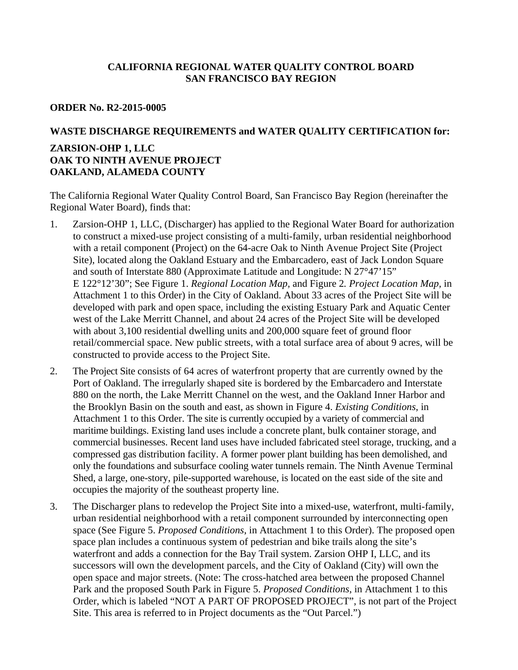# **CALIFORNIA REGIONAL WATER QUALITY CONTROL BOARD SAN FRANCISCO BAY REGION**

#### **ORDER No. R2-2015-0005**

#### **WASTE DISCHARGE REQUIREMENTS and WATER QUALITY CERTIFICATION for:**

## **ZARSION-OHP 1, LLC OAK TO NINTH AVENUE PROJECT OAKLAND, ALAMEDA COUNTY**

The California Regional Water Quality Control Board, San Francisco Bay Region (hereinafter the Regional Water Board), finds that:

- 1. Zarsion-OHP 1, LLC, (Discharger) has applied to the Regional Water Board for authorization to construct a mixed-use project consisting of a multi-family, urban residential neighborhood with a retail component (Project) on the 64-acre Oak to Ninth Avenue Project Site (Project Site), located along the Oakland Estuary and the Embarcadero, east of Jack London Square and south of Interstate 880 (Approximate Latitude and Longitude: N 27°47'15" E 122°12'30"; See Figure 1. *Regional Location Map,* and Figure 2*. Project Location Map,* in Attachment 1 to this Order) in the City of Oakland. About 33 acres of the Project Site will be developed with park and open space, including the existing Estuary Park and Aquatic Center west of the Lake Merritt Channel, and about 24 acres of the Project Site will be developed with about 3,100 residential dwelling units and 200,000 square feet of ground floor retail/commercial space. New public streets, with a total surface area of about 9 acres, will be constructed to provide access to the Project Site.
- 2. The Project Site consists of 64 acres of waterfront property that are currently owned by the Port of Oakland. The irregularly shaped site is bordered by the Embarcadero and Interstate 880 on the north, the Lake Merritt Channel on the west, and the Oakland Inner Harbor and the Brooklyn Basin on the south and east, as shown in Figure 4. *Existing Conditions*, in Attachment 1 to this Order. The site is currently occupied by a variety of commercial and maritime buildings. Existing land uses include a concrete plant, bulk container storage, and commercial businesses. Recent land uses have included fabricated steel storage, trucking, and a compressed gas distribution facility. A former power plant building has been demolished, and only the foundations and subsurface cooling water tunnels remain. The Ninth Avenue Terminal Shed, a large, one-story, pile-supported warehouse, is located on the east side of the site and occupies the majority of the southeast property line.
- 3. The Discharger plans to redevelop the Project Site into a mixed-use, waterfront, multi-family, urban residential neighborhood with a retail component surrounded by interconnecting open space (See Figure 5. *Proposed Conditions*, in Attachment 1 to this Order). The proposed open space plan includes a continuous system of pedestrian and bike trails along the site's waterfront and adds a connection for the Bay Trail system. Zarsion OHP I, LLC, and its successors will own the development parcels, and the City of Oakland (City) will own the open space and major streets. (Note: The cross-hatched area between the proposed Channel Park and the proposed South Park in Figure 5. *Proposed Conditions*, in Attachment 1 to this Order, which is labeled "NOT A PART OF PROPOSED PROJECT", is not part of the Project Site. This area is referred to in Project documents as the "Out Parcel.")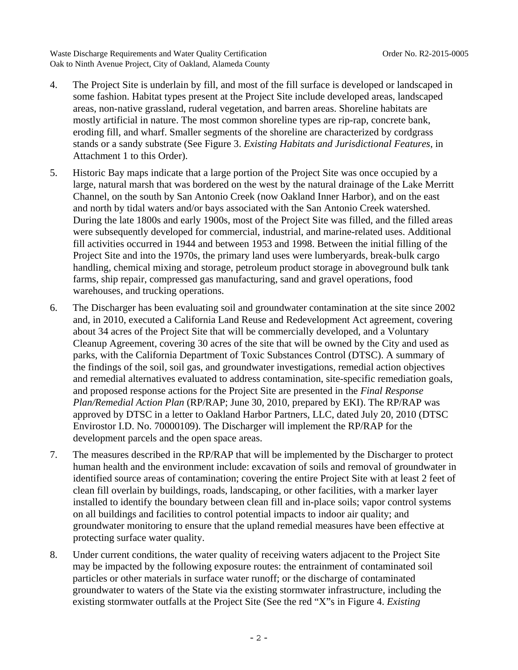- 4. The Project Site is underlain by fill, and most of the fill surface is developed or landscaped in some fashion. Habitat types present at the Project Site include developed areas, landscaped areas, non-native grassland, ruderal vegetation, and barren areas. Shoreline habitats are mostly artificial in nature. The most common shoreline types are rip-rap, concrete bank, eroding fill, and wharf. Smaller segments of the shoreline are characterized by cordgrass stands or a sandy substrate (See Figure 3. *Existing Habitats and Jurisdictional Features*, in Attachment 1 to this Order).
- 5. Historic Bay maps indicate that a large portion of the Project Site was once occupied by a large, natural marsh that was bordered on the west by the natural drainage of the Lake Merritt Channel, on the south by San Antonio Creek (now Oakland Inner Harbor), and on the east and north by tidal waters and/or bays associated with the San Antonio Creek watershed. During the late 1800s and early 1900s, most of the Project Site was filled, and the filled areas were subsequently developed for commercial, industrial, and marine-related uses. Additional fill activities occurred in 1944 and between 1953 and 1998. Between the initial filling of the Project Site and into the 1970s, the primary land uses were lumberyards, break-bulk cargo handling, chemical mixing and storage, petroleum product storage in aboveground bulk tank farms, ship repair, compressed gas manufacturing, sand and gravel operations, food warehouses, and trucking operations.
- 6. The Discharger has been evaluating soil and groundwater contamination at the site since 2002 and, in 2010, executed a California Land Reuse and Redevelopment Act agreement, covering about 34 acres of the Project Site that will be commercially developed, and a Voluntary Cleanup Agreement, covering 30 acres of the site that will be owned by the City and used as parks, with the California Department of Toxic Substances Control (DTSC). A summary of the findings of the soil, soil gas, and groundwater investigations, remedial action objectives and remedial alternatives evaluated to address contamination, site-specific remediation goals, and proposed response actions for the Project Site are presented in the *Final Response Plan/Remedial Action Plan* (RP/RAP; June 30, 2010, prepared by EKI). The RP/RAP was approved by DTSC in a letter to Oakland Harbor Partners, LLC, dated July 20, 2010 (DTSC Envirostor I.D. No. 70000109). The Discharger will implement the RP/RAP for the development parcels and the open space areas.
- 7. The measures described in the RP/RAP that will be implemented by the Discharger to protect human health and the environment include: excavation of soils and removal of groundwater in identified source areas of contamination; covering the entire Project Site with at least 2 feet of clean fill overlain by buildings, roads, landscaping, or other facilities, with a marker layer installed to identify the boundary between clean fill and in-place soils; vapor control systems on all buildings and facilities to control potential impacts to indoor air quality; and groundwater monitoring to ensure that the upland remedial measures have been effective at protecting surface water quality.
- 8. Under current conditions, the water quality of receiving waters adjacent to the Project Site may be impacted by the following exposure routes: the entrainment of contaminated soil particles or other materials in surface water runoff; or the discharge of contaminated groundwater to waters of the State via the existing stormwater infrastructure, including the existing stormwater outfalls at the Project Site (See the red "X"s in Figure 4. *Existing*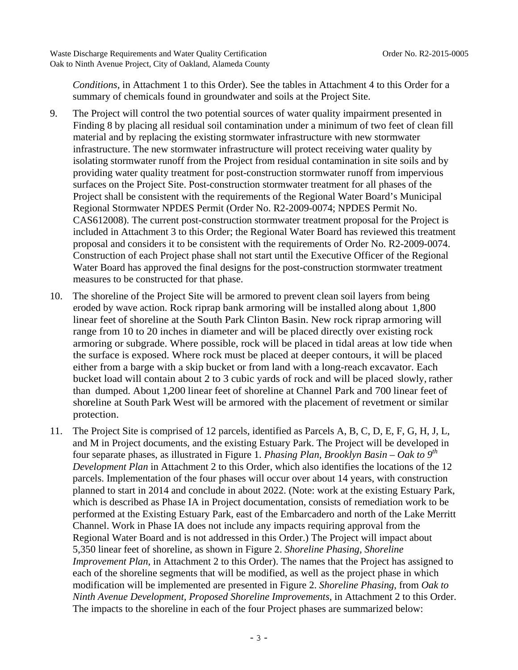*Conditions*, in Attachment 1 to this Order). See the tables in Attachment 4 to this Order for a summary of chemicals found in groundwater and soils at the Project Site.

- 9. The Project will control the two potential sources of water quality impairment presented in Finding 8 by placing all residual soil contamination under a minimum of two feet of clean fill material and by replacing the existing stormwater infrastructure with new stormwater infrastructure. The new stormwater infrastructure will protect receiving water quality by isolating stormwater runoff from the Project from residual contamination in site soils and by providing water quality treatment for post-construction stormwater runoff from impervious surfaces on the Project Site. Post-construction stormwater treatment for all phases of the Project shall be consistent with the requirements of the Regional Water Board's Municipal Regional Stormwater NPDES Permit (Order No. R2-2009-0074; NPDES Permit No. CAS612008). The current post-construction stormwater treatment proposal for the Project is included in Attachment 3 to this Order; the Regional Water Board has reviewed this treatment proposal and considers it to be consistent with the requirements of Order No. R2-2009-0074. Construction of each Project phase shall not start until the Executive Officer of the Regional Water Board has approved the final designs for the post-construction stormwater treatment measures to be constructed for that phase.
- 10. The shoreline of the Project Site will be armored to prevent clean soil layers from being eroded by wave action. Rock riprap bank armoring will be installed along about 1,800 linear feet of shoreline at the South Park Clinton Basin. New rock riprap armoring will range from 10 to 20 inches in diameter and will be placed directly over existing rock armoring or subgrade. Where possible, rock will be placed in tidal areas at low tide when the surface is exposed. Where rock must be placed at deeper contours, it will be placed either from a barge with a skip bucket or from land with a long-reach excavator. Each bucket load will contain about 2 to 3 cubic yards of rock and will be placed slowly, rather than dumped. About 1,200 linear feet of shoreline at Channel Park and 700 linear feet of shoreline at South Park West will be armored with the placement of revetment or similar protection.
- 11. The Project Site is comprised of 12 parcels, identified as Parcels A, B, C, D, E, F, G, H, J, L, and M in Project documents, and the existing Estuary Park. The Project will be developed in four separate phases, as illustrated in Figure 1. *Phasing Plan, Brooklyn Basin – Oak to 9th Development Plan* in Attachment 2 to this Order, which also identifies the locations of the 12 parcels. Implementation of the four phases will occur over about 14 years, with construction planned to start in 2014 and conclude in about 2022. (Note: work at the existing Estuary Park, which is described as Phase IA in Project documentation, consists of remediation work to be performed at the Existing Estuary Park, east of the Embarcadero and north of the Lake Merritt Channel. Work in Phase IA does not include any impacts requiring approval from the Regional Water Board and is not addressed in this Order.) The Project will impact about 5,350 linear feet of shoreline, as shown in Figure 2. *Shoreline Phasing, Shoreline Improvement Plan*, in Attachment 2 to this Order). The names that the Project has assigned to each of the shoreline segments that will be modified, as well as the project phase in which modification will be implemented are presented in Figure 2. *Shoreline Phasing*, from *Oak to Ninth Avenue Development, Proposed Shoreline Improvements*, in Attachment 2 to this Order. The impacts to the shoreline in each of the four Project phases are summarized below: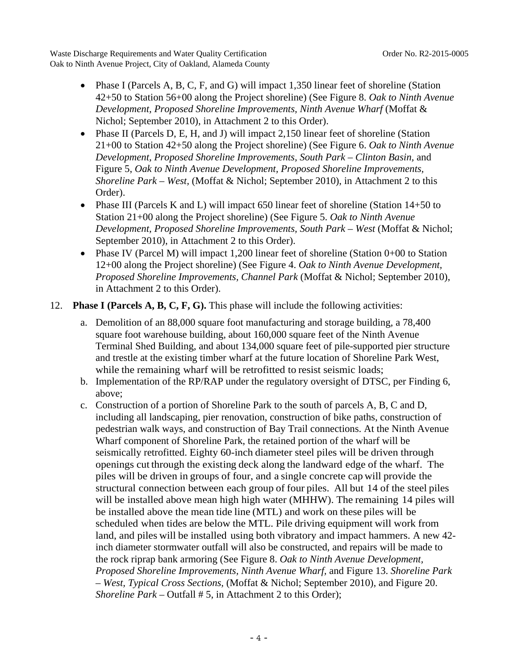- Phase I (Parcels A, B, C, F, and G) will impact 1,350 linear feet of shoreline (Station 42+50 to Station 56+00 along the Project shoreline) (See Figure 8. *Oak to Ninth Avenue Development, Proposed Shoreline Improvements, Ninth Avenue Wharf* (Moffat & Nichol; September 2010), in Attachment 2 to this Order).
- Phase II (Parcels D, E, H, and J) will impact 2,150 linear feet of shoreline (Station 21+00 to Station 42+50 along the Project shoreline) (See Figure 6. *Oak to Ninth Avenue Development, Proposed Shoreline Improvements, South Park – Clinton Basin,* and Figure 5, *Oak to Ninth Avenue Development, Proposed Shoreline Improvements, Shoreline Park – West,* (Moffat & Nichol; September 2010), in Attachment 2 to this Order).
- Phase III (Parcels K and L) will impact 650 linear feet of shoreline (Station 14+50 to Station 21+00 along the Project shoreline) (See Figure 5. *Oak to Ninth Avenue Development, Proposed Shoreline Improvements, South Park – West* (Moffat & Nichol; September 2010), in Attachment 2 to this Order).
- Phase IV (Parcel M) will impact 1,200 linear feet of shoreline (Station 0+00 to Station 12+00 along the Project shoreline) (See Figure 4. *Oak to Ninth Avenue Development, Proposed Shoreline Improvements, Channel Park* (Moffat & Nichol; September 2010), in Attachment 2 to this Order).

# 12. **Phase I (Parcels A, B, C, F, G).** This phase will include the following activities:

- a. Demolition of an 88,000 square foot manufacturing and storage building, a 78,400 square foot warehouse building, about 160,000 square feet of the Ninth Avenue Terminal Shed Building, and about 134,000 square feet of pile-supported pier structure and trestle at the existing timber wharf at the future location of Shoreline Park West, while the remaining wharf will be retrofitted to resist seismic loads;
- b. Implementation of the RP/RAP under the regulatory oversight of DTSC, per Finding 6, above;
- c. Construction of a portion of Shoreline Park to the south of parcels A, B, C and D, including all landscaping, pier renovation, construction of bike paths, construction of pedestrian walk ways, and construction of Bay Trail connections. At the Ninth Avenue Wharf component of Shoreline Park, the retained portion of the wharf will be seismically retrofitted. Eighty 60-inch diameter steel piles will be driven through openings cut through the existing deck along the landward edge of the wharf. The piles will be driven in groups of four, and a single concrete cap will provide the structural connection between each group of four piles. All but 14 of the steel piles will be installed above mean high high water (MHHW). The remaining 14 piles will be installed above the mean tide line (MTL) and work on these piles will be scheduled when tides are below the MTL. Pile driving equipment will work from land, and piles will be installed using both vibratory and impact hammers. A new 42 inch diameter stormwater outfall will also be constructed, and repairs will be made to the rock riprap bank armoring (See Figure 8. *Oak to Ninth Avenue Development, Proposed Shoreline Improvements, Ninth Avenue Wharf,* and Figure 13. *Shoreline Park – West, Typical Cross Sections,* (Moffat & Nichol; September 2010), and Figure 20. *Shoreline Park – Outfall # 5, in Attachment 2 to this Order);*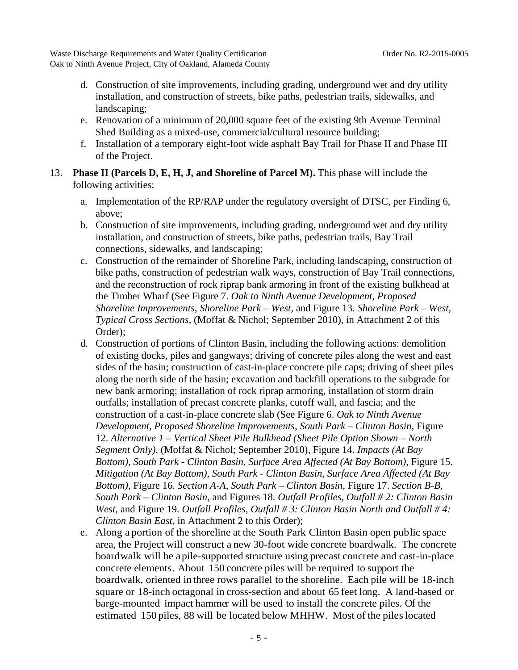- d. Construction of site improvements, including grading, underground wet and dry utility installation, and construction of streets, bike paths, pedestrian trails, sidewalks, and landscaping;
- e. Renovation of a minimum of 20,000 square feet of the existing 9th Avenue Terminal Shed Building as a mixed-use, commercial/cultural resource building;
- f. Installation of a temporary eight-foot wide asphalt Bay Trail for Phase II and Phase III of the Project.
- 13. **Phase II (Parcels D, E, H, J, and Shoreline of Parcel M).** This phase will include the following activities:
	- a. Implementation of the RP/RAP under the regulatory oversight of DTSC, per Finding 6, above;
	- b. Construction of site improvements, including grading, underground wet and dry utility installation, and construction of streets, bike paths, pedestrian trails, Bay Trail connections, sidewalks, and landscaping;
	- c. Construction of the remainder of Shoreline Park, including landscaping, construction of bike paths, construction of pedestrian walk ways, construction of Bay Trail connections, and the reconstruction of rock riprap bank armoring in front of the existing bulkhead at the Timber Wharf (See Figure 7. *Oak to Ninth Avenue Development, Proposed Shoreline Improvements, Shoreline Park – West,* and Figure 13. *Shoreline Park – West, Typical Cross Sections,* (Moffat & Nichol; September 2010), in Attachment 2 of this Order);
	- d. Construction of portions of Clinton Basin, including the following actions: demolition of existing docks, piles and gangways; driving of concrete piles along the west and east sides of the basin; construction of cast-in-place concrete pile caps; driving of sheet piles along the north side of the basin; excavation and backfill operations to the subgrade for new bank armoring; installation of rock riprap armoring, installation of storm drain outfalls; installation of precast concrete planks, cutoff wall, and fascia; and the construction of a cast-in-place concrete slab (See Figure 6. *Oak to Ninth Avenue Development, Proposed Shoreline Improvements, South Park – Clinton Basin,* Figure 12. *Alternative 1 – Vertical Sheet Pile Bulkhead (Sheet Pile Option Shown – North Segment Only)*, (Moffat & Nichol; September 2010), Figure 14. *Impacts (At Bay Bottom), South Park - Clinton Basin, Surface Area Affected (At Bay Bottom)*, Figure 15. *Mitigation (At Bay Bottom), South Park - Clinton Basin, Surface Area Affected (At Bay Bottom)*, Figure 16. *Section A-A, South Park – Clinton Basin,* Figure 17. *Section B-B, South Park – Clinton Basin*, and Figures 18. *Outfall Profiles, Outfall # 2: Clinton Basin West*, and Figure 19. *Outfall Profiles*, *Outfall # 3: Clinton Basin North and Outfall # 4: Clinton Basin East*, in Attachment 2 to this Order);
	- e. Along a portion of the shoreline at the South Park Clinton Basin open public space area, the Project will construct a new 30-foot wide concrete boardwalk. The concrete boardwalk will be a pile-supported structure using precast concrete and cast-in-place concrete elements. About 150 concrete piles will be required to support the boardwalk, oriented in three rows parallel to the shoreline. Each pile will be 18-inch square or 18-inch octagonal in cross-section and about 65 feet long. A land-based or barge-mounted impact hammer will be used to install the concrete piles. Of the estimated 150 piles, 88 will be located below MHHW. Most of the piles located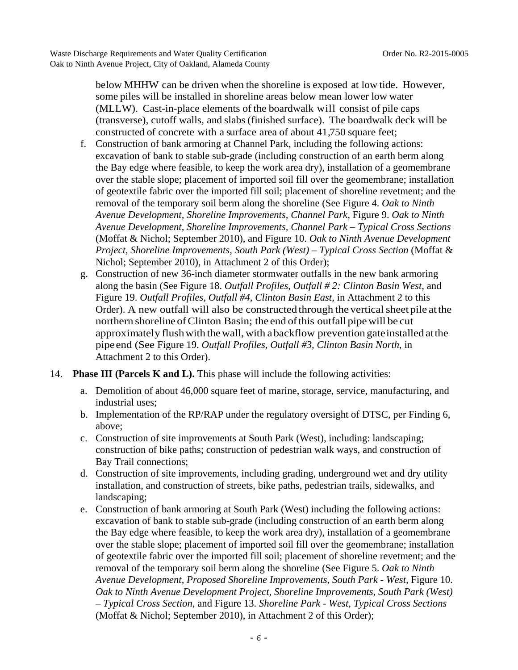below MHHW can be driven when the shoreline is exposed at low tide. However, some piles will be installed in shoreline areas below mean lower low water (MLLW). Cast-in-place elements of the boardwalk will consist of pile caps (transverse), cutoff walls, and slabs (finished surface). The boardwalk deck will be constructed of concrete with a surface area of about 41,750 square feet;

- f. Construction of bank armoring at Channel Park, including the following actions: excavation of bank to stable sub-grade (including construction of an earth berm along the Bay edge where feasible, to keep the work area dry), installation of a geomembrane over the stable slope; placement of imported soil fill over the geomembrane; installation of geotextile fabric over the imported fill soil; placement of shoreline revetment; and the removal of the temporary soil berm along the shoreline (See Figure 4. *Oak to Ninth Avenue Development, Shoreline Improvements, Channel Park,* Figure 9. *Oak to Ninth Avenue Development, Shoreline Improvements, Channel Park – Typical Cross Sections* (Moffat & Nichol; September 2010), and Figure 10. *Oak to Ninth Avenue Development Project, Shoreline Improvements, South Park (West) – Typical Cross Section* (Moffat & Nichol; September 2010), in Attachment 2 of this Order);
- g. Construction of new 36-inch diameter stormwater outfalls in the new bank armoring along the basin (See Figure 18. *Outfall Profiles*, *Outfall # 2: Clinton Basin West*, and Figure 19. *Outfall Profiles, Outfall #4, Clinton Basin East*, in Attachment 2 to this Order). A new outfall will also be constructed through the vertical sheet pile at the northern shoreline of Clinton Basin; the end of this outfall pipe will be cut approximately flush with the wall, with a backflow prevention gate installed at the pipe end (See Figure 19. *Outfall Profiles, Outfall #3, Clinton Basin North*, in Attachment 2 to this Order).
- 14. **Phase III (Parcels K and L).** This phase will include the following activities:
	- a. Demolition of about 46,000 square feet of marine, storage, service, manufacturing, and industrial uses;
	- b. Implementation of the RP/RAP under the regulatory oversight of DTSC, per Finding 6, above;
	- c. Construction of site improvements at South Park (West), including: landscaping; construction of bike paths; construction of pedestrian walk ways, and construction of Bay Trail connections;
	- d. Construction of site improvements, including grading, underground wet and dry utility installation, and construction of streets, bike paths, pedestrian trails, sidewalks, and landscaping;
	- e. Construction of bank armoring at South Park (West) including the following actions: excavation of bank to stable sub-grade (including construction of an earth berm along the Bay edge where feasible, to keep the work area dry), installation of a geomembrane over the stable slope; placement of imported soil fill over the geomembrane; installation of geotextile fabric over the imported fill soil; placement of shoreline revetment; and the removal of the temporary soil berm along the shoreline (See Figure 5. *Oak to Ninth Avenue Development, Proposed Shoreline Improvements, South Park - West,* Figure 10. *Oak to Ninth Avenue Development Project, Shoreline Improvements, South Park (West) – Typical Cross Section*, and Figure 13. *Shoreline Park - West, Typical Cross Sections* (Moffat & Nichol; September 2010), in Attachment 2 of this Order);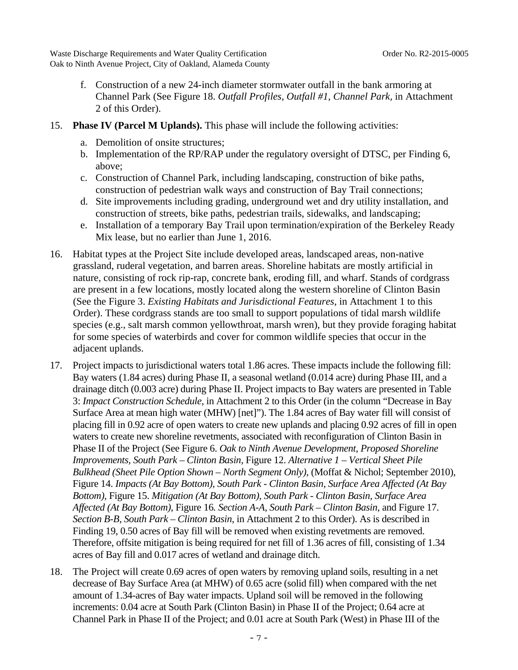- f. Construction of a new 24-inch diameter stormwater outfall in the bank armoring at Channel Park (See Figure 18. *Outfall Profiles, Outfall #1, Channel Park,* in Attachment 2 of this Order).
- 15. **Phase IV (Parcel M Uplands).** This phase will include the following activities:
	- a. Demolition of onsite structures;
	- b. Implementation of the RP/RAP under the regulatory oversight of DTSC, per Finding 6, above;
	- c. Construction of Channel Park, including landscaping, construction of bike paths, construction of pedestrian walk ways and construction of Bay Trail connections;
	- d. Site improvements including grading, underground wet and dry utility installation, and construction of streets, bike paths, pedestrian trails, sidewalks, and landscaping;
	- e. Installation of a temporary Bay Trail upon termination/expiration of the Berkeley Ready Mix lease, but no earlier than June 1, 2016.
- 16. Habitat types at the Project Site include developed areas, landscaped areas, non-native grassland, ruderal vegetation, and barren areas. Shoreline habitats are mostly artificial in nature, consisting of rock rip-rap, concrete bank, eroding fill, and wharf. Stands of cordgrass are present in a few locations, mostly located along the western shoreline of Clinton Basin (See the Figure 3. *Existing Habitats and Jurisdictional Features*, in Attachment 1 to this Order). These cordgrass stands are too small to support populations of tidal marsh wildlife species (e.g., salt marsh common yellowthroat, marsh wren), but they provide foraging habitat for some species of waterbirds and cover for common wildlife species that occur in the adjacent uplands.
- 17. Project impacts to jurisdictional waters total 1.86 acres. These impacts include the following fill: Bay waters (1.84 acres) during Phase II, a seasonal wetland (0.014 acre) during Phase III, and a drainage ditch (0.003 acre) during Phase II. Project impacts to Bay waters are presented in Table 3: *Impact Construction Schedule,* in Attachment 2 to this Order (in the column "Decrease in Bay Surface Area at mean high water (MHW) [net]"). The 1.84 acres of Bay water fill will consist of placing fill in 0.92 acre of open waters to create new uplands and placing 0.92 acres of fill in open waters to create new shoreline revetments, associated with reconfiguration of Clinton Basin in Phase II of the Project (See Figure 6. *Oak to Ninth Avenue Development, Proposed Shoreline Improvements, South Park – Clinton Basin,* Figure 12. *Alternative 1 – Vertical Sheet Pile Bulkhead (Sheet Pile Option Shown – North Segment Only),* (Moffat & Nichol; September 2010), Figure 14. *Impacts (At Bay Bottom), South Park - Clinton Basin, Surface Area Affected (At Bay Bottom),* Figure 15. *Mitigation (At Bay Bottom), South Park - Clinton Basin, Surface Area Affected (At Bay Bottom),* Figure 16*. Section A-A, South Park – Clinton Basin,* and Figure 17. *Section B-B, South Park – Clinton Basin*, in Attachment 2 to this Order). As is described in Finding 19, 0.50 acres of Bay fill will be removed when existing revetments are removed. Therefore, offsite mitigation is being required for net fill of 1.36 acres of fill, consisting of 1.34 acres of Bay fill and 0.017 acres of wetland and drainage ditch.
- 18. The Project will create 0.69 acres of open waters by removing upland soils, resulting in a net decrease of Bay Surface Area (at MHW) of 0.65 acre (solid fill) when compared with the net amount of 1.34-acres of Bay water impacts. Upland soil will be removed in the following increments: 0.04 acre at South Park (Clinton Basin) in Phase II of the Project; 0.64 acre at Channel Park in Phase II of the Project; and 0.01 acre at South Park (West) in Phase III of the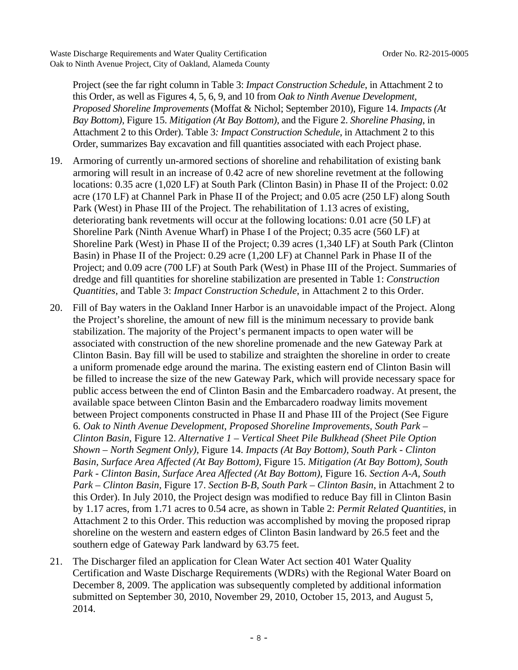Project (see the far right column in Table 3: *Impact Construction Schedule*, in Attachment 2 to this Order, as well as Figures 4, 5, 6, 9, and 10 from *Oak to Ninth Avenue Development, Proposed Shoreline Improvements* (Moffat & Nichol; September 2010), Figure 14. *Impacts (At Bay Bottom)*, Figure 15. *Mitigation (At Bay Bottom)*, and the Figure 2. *Shoreline Phasing*, in Attachment 2 to this Order). Table 3*: Impact Construction Schedule*, in Attachment 2 to this Order, summarizes Bay excavation and fill quantities associated with each Project phase.

- 19. Armoring of currently un-armored sections of shoreline and rehabilitation of existing bank armoring will result in an increase of 0.42 acre of new shoreline revetment at the following locations: 0.35 acre (1,020 LF) at South Park (Clinton Basin) in Phase II of the Project: 0.02 acre (170 LF) at Channel Park in Phase II of the Project; and 0.05 acre (250 LF) along South Park (West) in Phase III of the Project. The rehabilitation of 1.13 acres of existing, deteriorating bank revetments will occur at the following locations: 0.01 acre (50 LF) at Shoreline Park (Ninth Avenue Wharf) in Phase I of the Project; 0.35 acre (560 LF) at Shoreline Park (West) in Phase II of the Project; 0.39 acres (1,340 LF) at South Park (Clinton Basin) in Phase II of the Project: 0.29 acre (1,200 LF) at Channel Park in Phase II of the Project; and 0.09 acre (700 LF) at South Park (West) in Phase III of the Project. Summaries of dredge and fill quantities for shoreline stabilization are presented in Table 1: *Construction Quantities*, and Table 3: *Impact Construction Schedule*, in Attachment 2 to this Order.
- 20. Fill of Bay waters in the Oakland Inner Harbor is an unavoidable impact of the Project. Along the Project's shoreline, the amount of new fill is the minimum necessary to provide bank stabilization. The majority of the Project's permanent impacts to open water will be associated with construction of the new shoreline promenade and the new Gateway Park at Clinton Basin. Bay fill will be used to stabilize and straighten the shoreline in order to create a uniform promenade edge around the marina. The existing eastern end of Clinton Basin will be filled to increase the size of the new Gateway Park, which will provide necessary space for public access between the end of Clinton Basin and the Embarcadero roadway. At present, the available space between Clinton Basin and the Embarcadero roadway limits movement between Project components constructed in Phase II and Phase III of the Project (See Figure 6. *Oak to Ninth Avenue Development, Proposed Shoreline Improvements, South Park – Clinton Basin,* Figure 12. *Alternative 1 – Vertical Sheet Pile Bulkhead (Sheet Pile Option Shown – North Segment Only)*, Figure 14. *Impacts (At Bay Bottom), South Park - Clinton Basin, Surface Area Affected (At Bay Bottom)*, Figure 15. *Mitigation (At Bay Bottom), South Park - Clinton Basin, Surface Area Affected (At Bay Bottom)*, Figure 16. *Section A-A, South Park – Clinton Basin,* Figure 17. *Section B-B, South Park – Clinton Basin*, in Attachment 2 to this Order). In July 2010, the Project design was modified to reduce Bay fill in Clinton Basin by 1.17 acres, from 1.71 acres to 0.54 acre, as shown in Table 2: *Permit Related Quantities*, in Attachment 2 to this Order. This reduction was accomplished by moving the proposed riprap shoreline on the western and eastern edges of Clinton Basin landward by 26.5 feet and the southern edge of Gateway Park landward by 63.75 feet.
- 21. The Discharger filed an application for Clean Water Act section 401 Water Quality Certification and Waste Discharge Requirements (WDRs) with the Regional Water Board on December 8, 2009. The application was subsequently completed by additional information submitted on September 30, 2010, November 29, 2010, October 15, 2013, and August 5, 2014.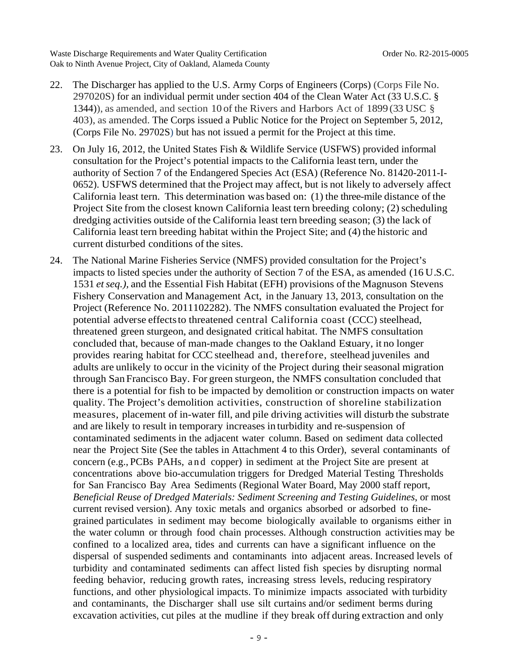- 22. The Discharger has applied to the U.S. Army Corps of Engineers (Corps) (Corps File No. 297020S) for an individual permit under section 404 of the Clean Water Act (33 U.S.C. § 1344)), as amended, and section 10 of the Rivers and Harbors Act of 1899 (33 USC § 403), as amended. The Corps issued a Public Notice for the Project on September 5, 2012, (Corps File No. 29702S) but has not issued a permit for the Project at this time.
- 23. On July 16, 2012, the United States Fish & Wildlife Service (USFWS) provided informal consultation for the Project's potential impacts to the California least tern, under the authority of Section 7 of the Endangered Species Act (ESA) (Reference No. 81420-2011-I-0652). USFWS determined that the Project may affect, but is not likely to adversely affect California least tern. This determination was based on: (1) the three-mile distance of the Project Site from the closest known California least tern breeding colony; (2) scheduling dredging activities outside of the California least tern breeding season; (3) the lack of California least tern breeding habitat within the Project Site; and (4) the historic and current disturbed conditions of the sites.
- 24. The National Marine Fisheries Service (NMFS) provided consultation for the Project's impacts to listed species under the authority of Section 7 of the ESA, as amended (16 U.S.C. 1531 *et seq.),* and the Essential Fish Habitat (EFH) provisions of the Magnuson Stevens Fishery Conservation and Management Act, in the January 13, 2013, consultation on the Project (Reference No. 2011102282). The NMFS consultation evaluated the Project for potential adverse effects to threatened central California coast (CCC) steelhead, threatened green sturgeon, and designated critical habitat. The NMFS consultation concluded that, because of man-made changes to the Oakland Estuary, it no longer provides rearing habitat for CCC steelhead and, therefore, steelhead juveniles and adults are unlikely to occur in the vicinity of the Project during their seasonal migration through San Francisco Bay. For green sturgeon, the NMFS consultation concluded that there is a potential for fish to be impacted by demolition or construction impacts on water quality. The Project's demolition activities, construction of shoreline stabilization measures, placement of in-water fill, and pile driving activities will disturb the substrate and are likely to result in temporary increases in turbidity and re-suspension of contaminated sediments in the adjacent water column. Based on sediment data collected near the Project Site (See the tables in Attachment 4 to this Order), several contaminants of concern (e.g., PCBs PAHs, and copper) in sediment at the Project Site are present at concentrations above bio-accumulation triggers for Dredged Material Testing Thresholds for San Francisco Bay Area Sediments (Regional Water Board, May 2000 staff report, *Beneficial Reuse of Dredged Materials: Sediment Screening and Testing Guidelines*, or most current revised version). Any toxic metals and organics absorbed or adsorbed to finegrained particulates in sediment may become biologically available to organisms either in the water column or through food chain processes. Although construction activities may be confined to a localized area, tides and currents can have a significant influence on the dispersal of suspended sediments and contaminants into adjacent areas. Increased levels of turbidity and contaminated sediments can affect listed fish species by disrupting normal feeding behavior, reducing growth rates, increasing stress levels, reducing respiratory functions, and other physiological impacts. To minimize impacts associated with turbidity and contaminants, the Discharger shall use silt curtains and/or sediment berms during excavation activities, cut piles at the mudline if they break off during extraction and only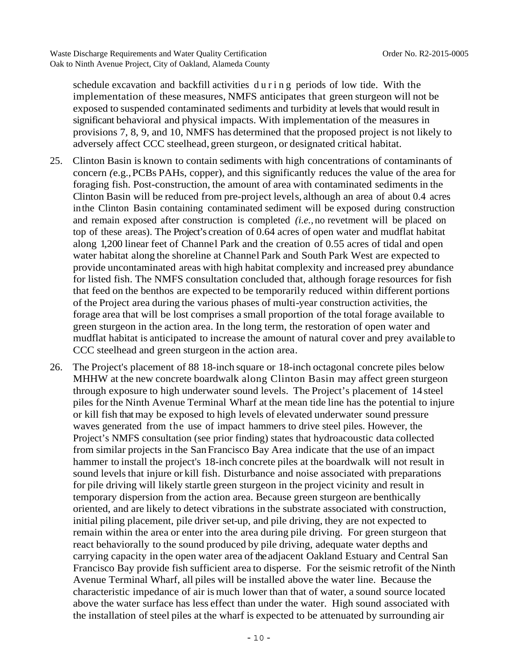schedule excavation and backfill activities d u r i n g periods of low tide. With the implementation of these measures, NMFS anticipates that green sturgeon will not be exposed to suspended contaminated sediments and turbidity at levels that would result in significant behavioral and physical impacts. With implementation of the measures in provisions 7, 8, 9, and 10, NMFS has determined that the proposed project is not likely to adversely affect CCC steelhead, green sturgeon, or designated critical habitat.

- 25. Clinton Basin is known to contain sediments with high concentrations of contaminants of concern *(*e.g.*,* PCBs PAHs, copper), and this significantly reduces the value of the area for foraging fish. Post-construction, the amount of area with contaminated sediments in the Clinton Basin will be reduced from pre-project levels, although an area of about 0.4 acres in the Clinton Basin containing contaminated sediment will be exposed during construction and remain exposed after construction is completed *(i.e.,* no revetment will be placed on top of these areas). The Project's creation of 0.64 acres of open water and mudflat habitat along 1,200 linear feet of Channel Park and the creation of 0.55 acres of tidal and open water habitat along the shoreline at Channel Park and South Park West are expected to provide uncontaminated areas with high habitat complexity and increased prey abundance for listed fish. The NMFS consultation concluded that, although forage resources for fish that feed on the benthos are expected to be temporarily reduced within different portions of the Project area during the various phases of multi-year construction activities, the forage area that will be lost comprises a small proportion of the total forage available to green sturgeon in the action area. In the long term, the restoration of open water and mudflat habitat is anticipated to increase the amount of natural cover and prey available to CCC steelhead and green sturgeon in the action area.
- 26. The Project's placement of 88 18-inch square or 18-inch octagonal concrete piles below MHHW at the new concrete boardwalk along Clinton Basin may affect green sturgeon through exposure to high underwater sound levels. The Project's placement of 14 steel piles for the Ninth Avenue Terminal Wharf at the mean tide line has the potential to injure or kill fish that may be exposed to high levels of elevated underwater sound pressure waves generated from the use of impact hammers to drive steel piles. However, the Project's NMFS consultation (see prior finding) states that hydroacoustic data collected from similar projects in the San Francisco Bay Area indicate that the use of an impact hammer to install the project's 18-inch concrete piles at the boardwalk will not result in sound levels that injure or kill fish. Disturbance and noise associated with preparations for pile driving will likely startle green sturgeon in the project vicinity and result in temporary dispersion from the action area. Because green sturgeon are benthically oriented, and are likely to detect vibrations in the substrate associated with construction, initial piling placement, pile driver set-up, and pile driving, they are not expected to remain within the area or enter into the area during pile driving. For green sturgeon that react behaviorally to the sound produced by pile driving, adequate water depths and carrying capacity in the open water area of the adjacent Oakland Estuary and Central San Francisco Bay provide fish sufficient area to disperse. For the seismic retrofit of the Ninth Avenue Terminal Wharf, all piles will be installed above the water line. Because the characteristic impedance of air is much lower than that of water, a sound source located above the water surface has less effect than under the water. High sound associated with the installation of steel piles at the wharf is expected to be attenuated by surrounding air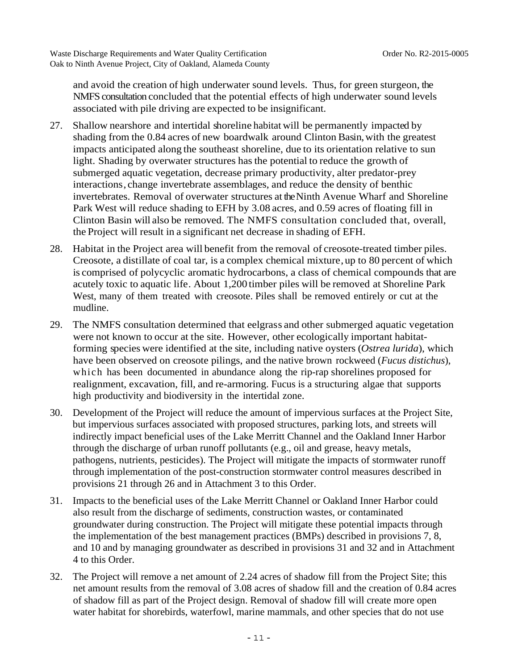and avoid the creation of high underwater sound levels. Thus, for green sturgeon, the NMFS consultation concluded that the potential effects of high underwater sound levels associated with pile driving are expected to be insignificant.

- 27. Shallow nearshore and intertidal shoreline habitat will be permanently impacted by shading from the 0.84 acres of new boardwalk around Clinton Basin, with the greatest impacts anticipated along the southeast shoreline, due to its orientation relative to sun light. Shading by overwater structures has the potential to reduce the growth of submerged aquatic vegetation, decrease primary productivity, alter predator-prey interactions, change invertebrate assemblages, and reduce the density of benthic invertebrates. Removal of overwater structures at the Ninth Avenue Wharf and Shoreline Park West will reduce shading to EFH by 3.08 acres, and 0.59 acres of floating fill in Clinton Basin will also be removed. The NMFS consultation concluded that, overall, the Project will result in a significant net decrease in shading of EFH.
- 28. Habitat in the Project area will benefit from the removal of creosote-treated timber piles. Creosote, a distillate of coal tar, is a complex chemical mixture, up to 80 percent of which is comprised of polycyclic aromatic hydrocarbons, a class of chemical compounds that are acutely toxic to aquatic life. About 1,200 timber piles will be removed at Shoreline Park West, many of them treated with creosote. Piles shall be removed entirely or cut at the mudline.
- 29. The NMFS consultation determined that eelgrass and other submerged aquatic vegetation were not known to occur at the site. However, other ecologically important habitatforming species were identified at the site, including native oysters (*Ostrea lurida*), which have been observed on creosote pilings, and the native brown rockweed (*Fucus distichus*), which has been documented in abundance along the rip-rap shorelines proposed for realignment, excavation, fill, and re-armoring. Fucus is a structuring algae that supports high productivity and biodiversity in the intertidal zone.
- 30. Development of the Project will reduce the amount of impervious surfaces at the Project Site, but impervious surfaces associated with proposed structures, parking lots, and streets will indirectly impact beneficial uses of the Lake Merritt Channel and the Oakland Inner Harbor through the discharge of urban runoff pollutants (e.g., oil and grease, heavy metals, pathogens, nutrients, pesticides). The Project will mitigate the impacts of stormwater runoff through implementation of the post-construction stormwater control measures described in provisions 21 through 26 and in Attachment 3 to this Order.
- 31. Impacts to the beneficial uses of the Lake Merritt Channel or Oakland Inner Harbor could also result from the discharge of sediments, construction wastes, or contaminated groundwater during construction. The Project will mitigate these potential impacts through the implementation of the best management practices (BMPs) described in provisions 7, 8, and 10 and by managing groundwater as described in provisions 31 and 32 and in Attachment 4 to this Order.
- 32. The Project will remove a net amount of 2.24 acres of shadow fill from the Project Site; this net amount results from the removal of 3.08 acres of shadow fill and the creation of 0.84 acres of shadow fill as part of the Project design. Removal of shadow fill will create more open water habitat for shorebirds, waterfowl, marine mammals, and other species that do not use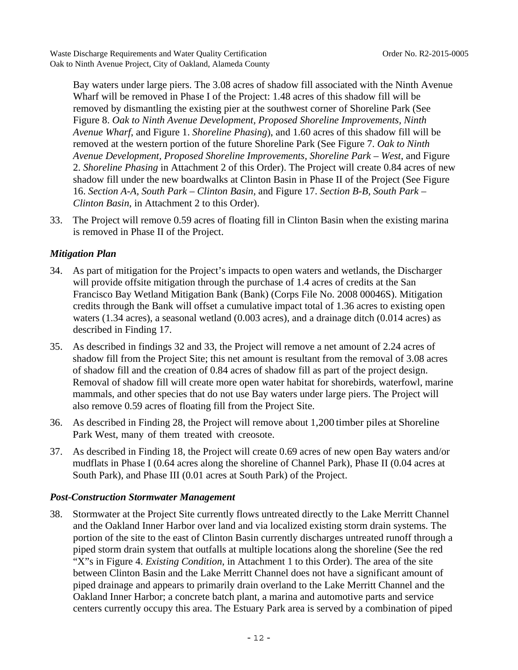Bay waters under large piers. The 3.08 acres of shadow fill associated with the Ninth Avenue Wharf will be removed in Phase I of the Project: 1.48 acres of this shadow fill will be removed by dismantling the existing pier at the southwest corner of Shoreline Park (See Figure 8. *Oak to Ninth Avenue Development, Proposed Shoreline Improvements, Ninth Avenue Wharf*, and Figure 1. *Shoreline Phasing*), and 1.60 acres of this shadow fill will be removed at the western portion of the future Shoreline Park (See Figure 7. *Oak to Ninth Avenue Development, Proposed Shoreline Improvements, Shoreline Park – West*, and Figure 2. *Shoreline Phasing* in Attachment 2 of this Order). The Project will create 0.84 acres of new shadow fill under the new boardwalks at Clinton Basin in Phase II of the Project (See Figure 16. *Section A-A, South Park – Clinton Basin,* and Figure 17. *Section B-B, South Park – Clinton Basin*, in Attachment 2 to this Order).

33. The Project will remove 0.59 acres of floating fill in Clinton Basin when the existing marina is removed in Phase II of the Project.

### *Mitigation Plan*

- 34. As part of mitigation for the Project's impacts to open waters and wetlands, the Discharger will provide offsite mitigation through the purchase of 1.4 acres of credits at the San Francisco Bay Wetland Mitigation Bank (Bank) (Corps File No. 2008 00046S). Mitigation credits through the Bank will offset a cumulative impact total of 1.36 acres to existing open waters (1.34 acres), a seasonal wetland (0.003 acres), and a drainage ditch (0.014 acres) as described in Finding 17.
- 35. As described in findings 32 and 33, the Project will remove a net amount of 2.24 acres of shadow fill from the Project Site; this net amount is resultant from the removal of 3.08 acres of shadow fill and the creation of 0.84 acres of shadow fill as part of the project design. Removal of shadow fill will create more open water habitat for shorebirds, waterfowl, marine mammals, and other species that do not use Bay waters under large piers. The Project will also remove 0.59 acres of floating fill from the Project Site.
- 36. As described in Finding 28, the Project will remove about 1,200 timber piles at Shoreline Park West, many of them treated with creosote.
- 37. As described in Finding 18, the Project will create 0.69 acres of new open Bay waters and/or mudflats in Phase I (0.64 acres along the shoreline of Channel Park), Phase II (0.04 acres at South Park), and Phase III (0.01 acres at South Park) of the Project.

#### *Post-Construction Stormwater Management*

38. Stormwater at the Project Site currently flows untreated directly to the Lake Merritt Channel and the Oakland Inner Harbor over land and via localized existing storm drain systems. The portion of the site to the east of Clinton Basin currently discharges untreated runoff through a piped storm drain system that outfalls at multiple locations along the shoreline (See the red "X"s in Figure 4. *Existing Condition*, in Attachment 1 to this Order). The area of the site between Clinton Basin and the Lake Merritt Channel does not have a significant amount of piped drainage and appears to primarily drain overland to the Lake Merritt Channel and the Oakland Inner Harbor; a concrete batch plant, a marina and automotive parts and service centers currently occupy this area. The Estuary Park area is served by a combination of piped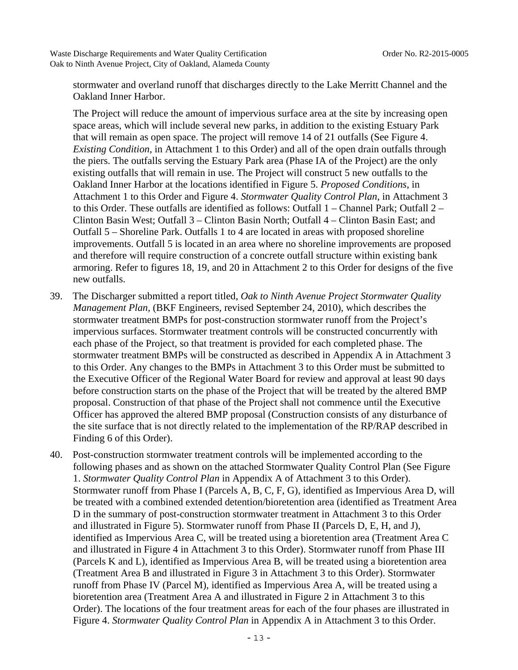stormwater and overland runoff that discharges directly to the Lake Merritt Channel and the Oakland Inner Harbor.

The Project will reduce the amount of impervious surface area at the site by increasing open space areas, which will include several new parks, in addition to the existing Estuary Park that will remain as open space. The project will remove 14 of 21 outfalls (See Figure 4. *Existing Condition*, in Attachment 1 to this Order) and all of the open drain outfalls through the piers. The outfalls serving the Estuary Park area (Phase IA of the Project) are the only existing outfalls that will remain in use. The Project will construct 5 new outfalls to the Oakland Inner Harbor at the locations identified in Figure 5. *Proposed Conditions*, in Attachment 1 to this Order and Figure 4. *Stormwater Quality Control Plan*, in Attachment 3 to this Order. These outfalls are identified as follows: Outfall 1 – Channel Park; Outfall 2 – Clinton Basin West; Outfall 3 – Clinton Basin North; Outfall 4 – Clinton Basin East; and Outfall 5 – Shoreline Park. Outfalls 1 to 4 are located in areas with proposed shoreline improvements. Outfall 5 is located in an area where no shoreline improvements are proposed and therefore will require construction of a concrete outfall structure within existing bank armoring. Refer to figures 18, 19, and 20 in Attachment 2 to this Order for designs of the five new outfalls.

- 39. The Discharger submitted a report titled, *Oak to Ninth Avenue Project Stormwater Quality Management Plan,* (BKF Engineers, revised September 24, 2010), which describes the stormwater treatment BMPs for post-construction stormwater runoff from the Project's impervious surfaces. Stormwater treatment controls will be constructed concurrently with each phase of the Project, so that treatment is provided for each completed phase. The stormwater treatment BMPs will be constructed as described in Appendix A in Attachment 3 to this Order. Any changes to the BMPs in Attachment 3 to this Order must be submitted to the Executive Officer of the Regional Water Board for review and approval at least 90 days before construction starts on the phase of the Project that will be treated by the altered BMP proposal. Construction of that phase of the Project shall not commence until the Executive Officer has approved the altered BMP proposal (Construction consists of any disturbance of the site surface that is not directly related to the implementation of the RP/RAP described in Finding 6 of this Order).
- 40. Post-construction stormwater treatment controls will be implemented according to the following phases and as shown on the attached Stormwater Quality Control Plan (See Figure 1. *Stormwater Quality Control Plan* in Appendix A of Attachment 3 to this Order). Stormwater runoff from Phase I (Parcels A, B, C, F, G), identified as Impervious Area D, will be treated with a combined extended detention/bioretention area (identified as Treatment Area D in the summary of post-construction stormwater treatment in Attachment 3 to this Order and illustrated in Figure 5). Stormwater runoff from Phase II (Parcels D, E, H, and J), identified as Impervious Area C, will be treated using a bioretention area (Treatment Area C and illustrated in Figure 4 in Attachment 3 to this Order). Stormwater runoff from Phase III (Parcels K and L), identified as Impervious Area B, will be treated using a bioretention area (Treatment Area B and illustrated in Figure 3 in Attachment 3 to this Order). Stormwater runoff from Phase IV (Parcel M), identified as Impervious Area A, will be treated using a bioretention area (Treatment Area A and illustrated in Figure 2 in Attachment 3 to this Order). The locations of the four treatment areas for each of the four phases are illustrated in Figure 4. *Stormwater Quality Control Plan* in Appendix A in Attachment 3 to this Order.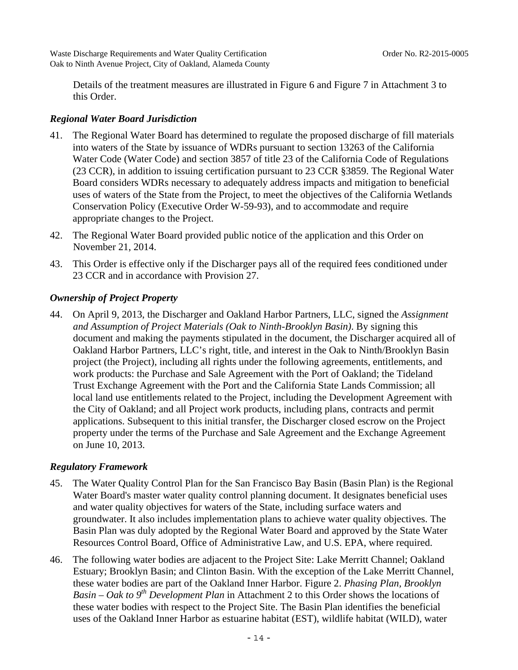Details of the treatment measures are illustrated in Figure 6 and Figure 7 in Attachment 3 to this Order.

### *Regional Water Board Jurisdiction*

- 41. The Regional Water Board has determined to regulate the proposed discharge of fill materials into waters of the State by issuance of WDRs pursuant to section 13263 of the California Water Code (Water Code) and section 3857 of title 23 of the California Code of Regulations (23 CCR), in addition to issuing certification pursuant to 23 CCR §3859. The Regional Water Board considers WDRs necessary to adequately address impacts and mitigation to beneficial uses of waters of the State from the Project, to meet the objectives of the California Wetlands Conservation Policy (Executive Order W-59-93), and to accommodate and require appropriate changes to the Project.
- 42. The Regional Water Board provided public notice of the application and this Order on November 21, 2014.
- 43. This Order is effective only if the Discharger pays all of the required fees conditioned under 23 CCR and in accordance with Provision 27.

# *Ownership of Project Property*

44. On April 9, 2013, the Discharger and Oakland Harbor Partners, LLC, signed the *Assignment and Assumption of Project Materials (Oak to Ninth-Brooklyn Basin)*. By signing this document and making the payments stipulated in the document, the Discharger acquired all of Oakland Harbor Partners, LLC's right, title, and interest in the Oak to Ninth/Brooklyn Basin project (the Project), including all rights under the following agreements, entitlements, and work products: the Purchase and Sale Agreement with the Port of Oakland; the Tideland Trust Exchange Agreement with the Port and the California State Lands Commission; all local land use entitlements related to the Project, including the Development Agreement with the City of Oakland; and all Project work products, including plans, contracts and permit applications. Subsequent to this initial transfer, the Discharger closed escrow on the Project property under the terms of the Purchase and Sale Agreement and the Exchange Agreement on June 10, 2013.

#### *Regulatory Framework*

- 45. The Water Quality Control Plan for the San Francisco Bay Basin (Basin Plan) is the Regional Water Board's master water quality control planning document. It designates beneficial uses and water quality objectives for waters of the State, including surface waters and groundwater. It also includes implementation plans to achieve water quality objectives. The Basin Plan was duly adopted by the Regional Water Board and approved by the State Water Resources Control Board, Office of Administrative Law, and U.S. EPA, where required.
- 46. The following water bodies are adjacent to the Project Site: Lake Merritt Channel; Oakland Estuary; Brooklyn Basin; and Clinton Basin. With the exception of the Lake Merritt Channel, these water bodies are part of the Oakland Inner Harbor. Figure 2. *Phasing Plan, Brooklyn Basin – Oak to 9th Development Plan* in Attachment 2 to this Order shows the locations of these water bodies with respect to the Project Site. The Basin Plan identifies the beneficial uses of the Oakland Inner Harbor as estuarine habitat (EST), wildlife habitat (WILD), water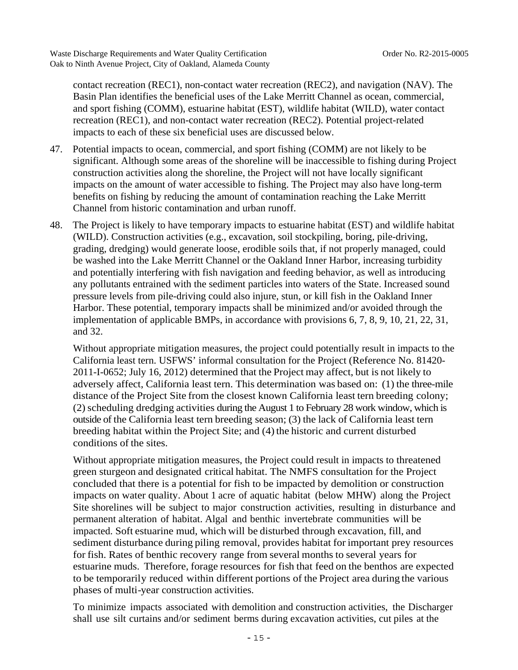contact recreation (REC1), non-contact water recreation (REC2), and navigation (NAV). The Basin Plan identifies the beneficial uses of the Lake Merritt Channel as ocean, commercial, and sport fishing (COMM), estuarine habitat (EST), wildlife habitat (WILD), water contact recreation (REC1), and non-contact water recreation (REC2). Potential project-related impacts to each of these six beneficial uses are discussed below.

- 47. Potential impacts to ocean, commercial, and sport fishing (COMM) are not likely to be significant. Although some areas of the shoreline will be inaccessible to fishing during Project construction activities along the shoreline, the Project will not have locally significant impacts on the amount of water accessible to fishing. The Project may also have long-term benefits on fishing by reducing the amount of contamination reaching the Lake Merritt Channel from historic contamination and urban runoff.
- 48. The Project is likely to have temporary impacts to estuarine habitat (EST) and wildlife habitat (WILD). Construction activities (e.g., excavation, soil stockpiling, boring, pile-driving, grading, dredging) would generate loose, erodible soils that, if not properly managed, could be washed into the Lake Merritt Channel or the Oakland Inner Harbor, increasing turbidity and potentially interfering with fish navigation and feeding behavior, as well as introducing any pollutants entrained with the sediment particles into waters of the State. Increased sound pressure levels from pile-driving could also injure, stun, or kill fish in the Oakland Inner Harbor. These potential, temporary impacts shall be minimized and/or avoided through the implementation of applicable BMPs, in accordance with provisions 6, 7, 8, 9, 10, 21, 22, 31, and 32.

Without appropriate mitigation measures, the project could potentially result in impacts to the California least tern. USFWS' informal consultation for the Project (Reference No. 81420- 2011-I-0652; July 16, 2012) determined that the Project may affect, but is not likely to adversely affect, California least tern. This determination was based on: (1) the three-mile distance of the Project Site from the closest known California least tern breeding colony; (2) scheduling dredging activities during the August 1 to February 28 work window, which is outside of the California least tern breeding season; (3) the lack of California least tern breeding habitat within the Project Site; and (4) the historic and current disturbed conditions of the sites.

Without appropriate mitigation measures, the Project could result in impacts to threatened green sturgeon and designated critical habitat. The NMFS consultation for the Project concluded that there is a potential for fish to be impacted by demolition or construction impacts on water quality. About 1 acre of aquatic habitat (below MHW) along the Project Site shorelines will be subject to major construction activities, resulting in disturbance and permanent alteration of habitat. Algal and benthic invertebrate communities will be impacted. Soft estuarine mud, which will be disturbed through excavation, fill, and sediment disturbance during piling removal, provides habitat for important prey resources for fish. Rates of benthic recovery range from several months to several years for estuarine muds. Therefore, forage resources for fish that feed on the benthos are expected to be temporarily reduced within different portions of the Project area during the various phases of multi-year construction activities.

To minimize impacts associated with demolition and construction activities, the Discharger shall use silt curtains and/or sediment berms during excavation activities, cut piles at the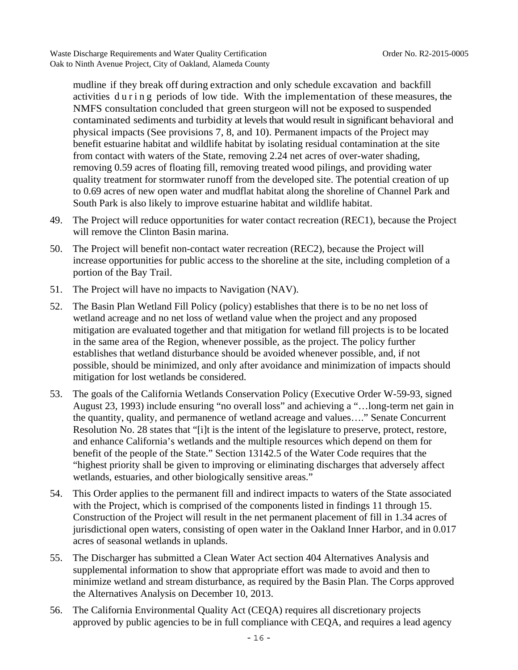mudline if they break off during extraction and only schedule excavation and backfill activities during periods of low tide. With the implementation of these measures, the NMFS consultation concluded that green sturgeon will not be exposed to suspended contaminated sediments and turbidity at levels that would result in significant behavioral and physical impacts (See provisions 7, 8, and 10). Permanent impacts of the Project may benefit estuarine habitat and wildlife habitat by isolating residual contamination at the site from contact with waters of the State, removing 2.24 net acres of over-water shading, removing 0.59 acres of floating fill, removing treated wood pilings, and providing water quality treatment for stormwater runoff from the developed site. The potential creation of up to 0.69 acres of new open water and mudflat habitat along the shoreline of Channel Park and South Park is also likely to improve estuarine habitat and wildlife habitat.

- 49. The Project will reduce opportunities for water contact recreation (REC1), because the Project will remove the Clinton Basin marina.
- 50. The Project will benefit non-contact water recreation (REC2), because the Project will increase opportunities for public access to the shoreline at the site, including completion of a portion of the Bay Trail.
- 51. The Project will have no impacts to Navigation (NAV).
- 52. The Basin Plan Wetland Fill Policy (policy) establishes that there is to be no net loss of wetland acreage and no net loss of wetland value when the project and any proposed mitigation are evaluated together and that mitigation for wetland fill projects is to be located in the same area of the Region, whenever possible, as the project. The policy further establishes that wetland disturbance should be avoided whenever possible, and, if not possible, should be minimized, and only after avoidance and minimization of impacts should mitigation for lost wetlands be considered.
- 53. The goals of the California Wetlands Conservation Policy (Executive Order W-59-93, signed August 23, 1993) include ensuring "no overall loss" and achieving a "…long-term net gain in the quantity, quality, and permanence of wetland acreage and values…." Senate Concurrent Resolution No. 28 states that "[i]t is the intent of the legislature to preserve, protect, restore, and enhance California's wetlands and the multiple resources which depend on them for benefit of the people of the State." Section 13142.5 of the Water Code requires that the "highest priority shall be given to improving or eliminating discharges that adversely affect wetlands, estuaries, and other biologically sensitive areas."
- 54. This Order applies to the permanent fill and indirect impacts to waters of the State associated with the Project, which is comprised of the components listed in findings 11 through 15. Construction of the Project will result in the net permanent placement of fill in 1.34 acres of jurisdictional open waters, consisting of open water in the Oakland Inner Harbor, and in 0.017 acres of seasonal wetlands in uplands.
- 55. The Discharger has submitted a Clean Water Act section 404 Alternatives Analysis and supplemental information to show that appropriate effort was made to avoid and then to minimize wetland and stream disturbance, as required by the Basin Plan. The Corps approved the Alternatives Analysis on December 10, 2013.
- 56. The California Environmental Quality Act (CEQA) requires all discretionary projects approved by public agencies to be in full compliance with CEQA, and requires a lead agency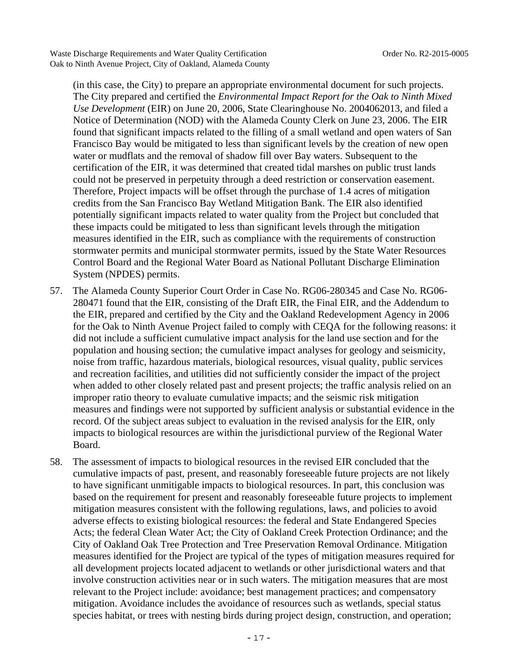(in this case, the City) to prepare an appropriate environmental document for such projects. The City prepared and certified the *Environmental Impact Report for the Oak to Ninth Mixed Use Development* (EIR) on June 20, 2006, State Clearinghouse No. 2004062013, and filed a Notice of Determination (NOD) with the Alameda County Clerk on June 23, 2006. The EIR found that significant impacts related to the filling of a small wetland and open waters of San Francisco Bay would be mitigated to less than significant levels by the creation of new open water or mudflats and the removal of shadow fill over Bay waters. Subsequent to the certification of the EIR, it was determined that created tidal marshes on public trust lands could not be preserved in perpetuity through a deed restriction or conservation easement. Therefore, Project impacts will be offset through the purchase of 1.4 acres of mitigation credits from the San Francisco Bay Wetland Mitigation Bank. The EIR also identified potentially significant impacts related to water quality from the Project but concluded that these impacts could be mitigated to less than significant levels through the mitigation measures identified in the EIR, such as compliance with the requirements of construction stormwater permits and municipal stormwater permits, issued by the State Water Resources Control Board and the Regional Water Board as National Pollutant Discharge Elimination System (NPDES) permits.

- 57. The Alameda County Superior Court Order in Case No. RG06-280345 and Case No. RG06- 280471 found that the EIR, consisting of the Draft EIR, the Final EIR, and the Addendum to the EIR, prepared and certified by the City and the Oakland Redevelopment Agency in 2006 for the Oak to Ninth Avenue Project failed to comply with CEQA for the following reasons: it did not include a sufficient cumulative impact analysis for the land use section and for the population and housing section; the cumulative impact analyses for geology and seismicity, noise from traffic, hazardous materials, biological resources, visual quality, public services and recreation facilities, and utilities did not sufficiently consider the impact of the project when added to other closely related past and present projects; the traffic analysis relied on an improper ratio theory to evaluate cumulative impacts; and the seismic risk mitigation measures and findings were not supported by sufficient analysis or substantial evidence in the record. Of the subject areas subject to evaluation in the revised analysis for the EIR, only impacts to biological resources are within the jurisdictional purview of the Regional Water Board.
- 58. The assessment of impacts to biological resources in the revised EIR concluded that the cumulative impacts of past, present, and reasonably foreseeable future projects are not likely to have significant unmitigable impacts to biological resources. In part, this conclusion was based on the requirement for present and reasonably foreseeable future projects to implement mitigation measures consistent with the following regulations, laws, and policies to avoid adverse effects to existing biological resources: the federal and State Endangered Species Acts; the federal Clean Water Act; the City of Oakland Creek Protection Ordinance; and the City of Oakland Oak Tree Protection and Tree Preservation Removal Ordinance. Mitigation measures identified for the Project are typical of the types of mitigation measures required for all development projects located adjacent to wetlands or other jurisdictional waters and that involve construction activities near or in such waters. The mitigation measures that are most relevant to the Project include: avoidance; best management practices; and compensatory mitigation. Avoidance includes the avoidance of resources such as wetlands, special status species habitat, or trees with nesting birds during project design, construction, and operation;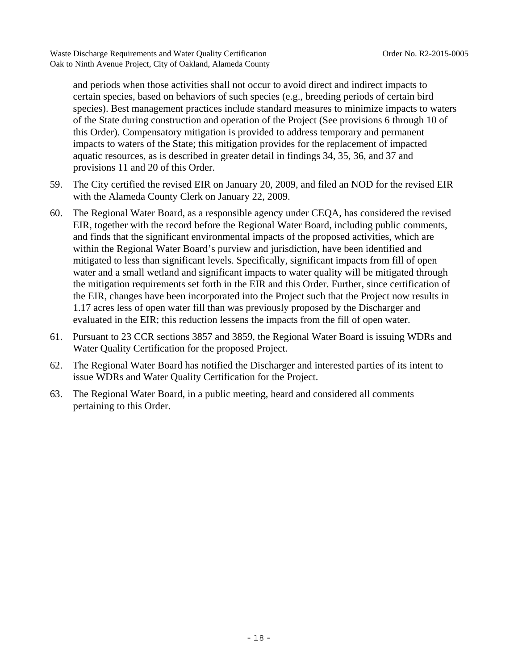and periods when those activities shall not occur to avoid direct and indirect impacts to certain species, based on behaviors of such species (e.g., breeding periods of certain bird species). Best management practices include standard measures to minimize impacts to waters of the State during construction and operation of the Project (See provisions 6 through 10 of this Order). Compensatory mitigation is provided to address temporary and permanent impacts to waters of the State; this mitigation provides for the replacement of impacted aquatic resources, as is described in greater detail in findings 34, 35, 36, and 37 and provisions 11 and 20 of this Order.

- 59. The City certified the revised EIR on January 20, 2009, and filed an NOD for the revised EIR with the Alameda County Clerk on January 22, 2009.
- 60. The Regional Water Board, as a responsible agency under CEQA, has considered the revised EIR, together with the record before the Regional Water Board, including public comments, and finds that the significant environmental impacts of the proposed activities, which are within the Regional Water Board's purview and jurisdiction, have been identified and mitigated to less than significant levels. Specifically, significant impacts from fill of open water and a small wetland and significant impacts to water quality will be mitigated through the mitigation requirements set forth in the EIR and this Order. Further, since certification of the EIR, changes have been incorporated into the Project such that the Project now results in 1.17 acres less of open water fill than was previously proposed by the Discharger and evaluated in the EIR; this reduction lessens the impacts from the fill of open water.
- 61. Pursuant to 23 CCR sections 3857 and 3859, the Regional Water Board is issuing WDRs and Water Quality Certification for the proposed Project.
- 62. The Regional Water Board has notified the Discharger and interested parties of its intent to issue WDRs and Water Quality Certification for the Project.
- 63. The Regional Water Board, in a public meeting, heard and considered all comments pertaining to this Order.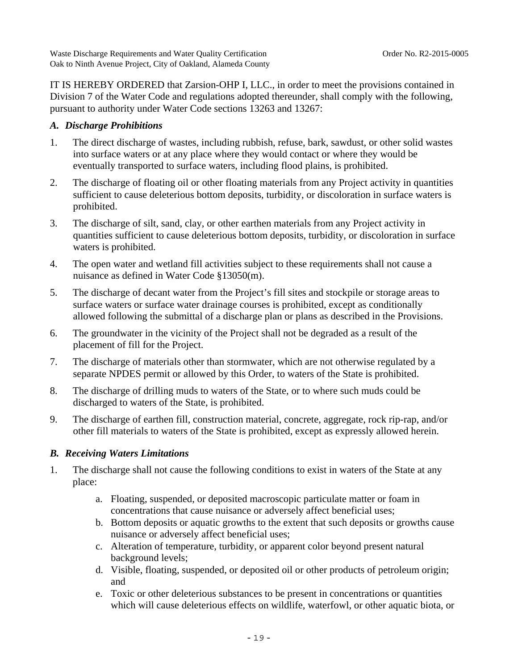IT IS HEREBY ORDERED that Zarsion-OHP I, LLC., in order to meet the provisions contained in Division 7 of the Water Code and regulations adopted thereunder, shall comply with the following, pursuant to authority under Water Code sections 13263 and 13267:

# *A. Discharge Prohibitions*

- 1. The direct discharge of wastes, including rubbish, refuse, bark, sawdust, or other solid wastes into surface waters or at any place where they would contact or where they would be eventually transported to surface waters, including flood plains, is prohibited.
- 2. The discharge of floating oil or other floating materials from any Project activity in quantities sufficient to cause deleterious bottom deposits, turbidity, or discoloration in surface waters is prohibited.
- 3. The discharge of silt, sand, clay, or other earthen materials from any Project activity in quantities sufficient to cause deleterious bottom deposits, turbidity, or discoloration in surface waters is prohibited.
- 4. The open water and wetland fill activities subject to these requirements shall not cause a nuisance as defined in Water Code §13050(m).
- 5. The discharge of decant water from the Project's fill sites and stockpile or storage areas to surface waters or surface water drainage courses is prohibited, except as conditionally allowed following the submittal of a discharge plan or plans as described in the Provisions.
- 6. The groundwater in the vicinity of the Project shall not be degraded as a result of the placement of fill for the Project.
- 7. The discharge of materials other than stormwater, which are not otherwise regulated by a separate NPDES permit or allowed by this Order, to waters of the State is prohibited.
- 8. The discharge of drilling muds to waters of the State, or to where such muds could be discharged to waters of the State, is prohibited.
- 9. The discharge of earthen fill, construction material, concrete, aggregate, rock rip-rap, and/or other fill materials to waters of the State is prohibited, except as expressly allowed herein.

# *B. Receiving Waters Limitations*

- 1. The discharge shall not cause the following conditions to exist in waters of the State at any place:
	- a. Floating, suspended, or deposited macroscopic particulate matter or foam in concentrations that cause nuisance or adversely affect beneficial uses;
	- b. Bottom deposits or aquatic growths to the extent that such deposits or growths cause nuisance or adversely affect beneficial uses;
	- c. Alteration of temperature, turbidity, or apparent color beyond present natural background levels;
	- d. Visible, floating, suspended, or deposited oil or other products of petroleum origin; and
	- e. Toxic or other deleterious substances to be present in concentrations or quantities which will cause deleterious effects on wildlife, waterfowl, or other aquatic biota, or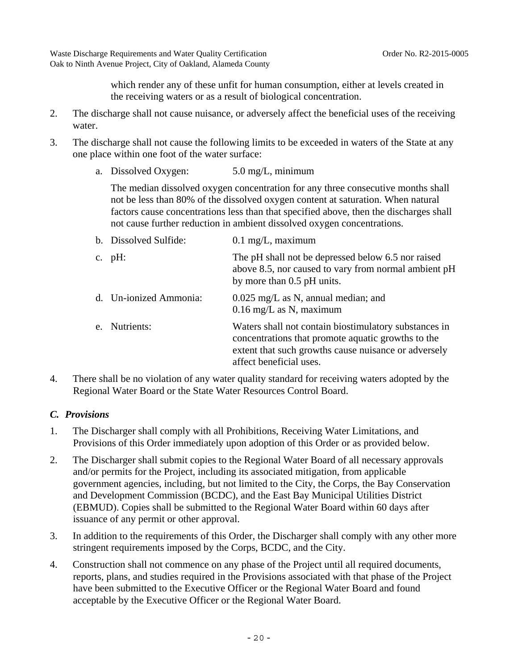which render any of these unfit for human consumption, either at levels created in the receiving waters or as a result of biological concentration.

- 2. The discharge shall not cause nuisance, or adversely affect the beneficial uses of the receiving water.
- 3. The discharge shall not cause the following limits to be exceeded in waters of the State at any one place within one foot of the water surface:

| a. Dissolved Oxygen: | $5.0 \text{ mg/L}$ , minimum |
|----------------------|------------------------------|
|                      |                              |

 The median dissolved oxygen concentration for any three consecutive months shall not be less than 80% of the dissolved oxygen content at saturation. When natural factors cause concentrations less than that specified above, then the discharges shall not cause further reduction in ambient dissolved oxygen concentrations.

| b. Dissolved Sulfide:  | $0.1$ mg/L, maximum                                                                                                                                                                            |
|------------------------|------------------------------------------------------------------------------------------------------------------------------------------------------------------------------------------------|
| c. $pH$ :              | The pH shall not be depressed below 6.5 nor raised<br>above 8.5, nor caused to vary from normal ambient pH<br>by more than 0.5 pH units.                                                       |
| d. Un-ionized Ammonia: | $0.025$ mg/L as N, annual median; and<br>$0.16 \text{ mg/L}$ as N, maximum                                                                                                                     |
| e. Nutrients:          | Waters shall not contain biostimulatory substances in<br>concentrations that promote aquatic growths to the<br>extent that such growths cause nuisance or adversely<br>affect beneficial uses. |

4. There shall be no violation of any water quality standard for receiving waters adopted by the Regional Water Board or the State Water Resources Control Board.

# *C. Provisions*

- 1. The Discharger shall comply with all Prohibitions, Receiving Water Limitations, and Provisions of this Order immediately upon adoption of this Order or as provided below.
- 2. The Discharger shall submit copies to the Regional Water Board of all necessary approvals and/or permits for the Project, including its associated mitigation, from applicable government agencies, including, but not limited to the City, the Corps, the Bay Conservation and Development Commission (BCDC), and the East Bay Municipal Utilities District (EBMUD). Copies shall be submitted to the Regional Water Board within 60 days after issuance of any permit or other approval.
- 3. In addition to the requirements of this Order, the Discharger shall comply with any other more stringent requirements imposed by the Corps, BCDC, and the City.
- 4. Construction shall not commence on any phase of the Project until all required documents, reports, plans, and studies required in the Provisions associated with that phase of the Project have been submitted to the Executive Officer or the Regional Water Board and found acceptable by the Executive Officer or the Regional Water Board.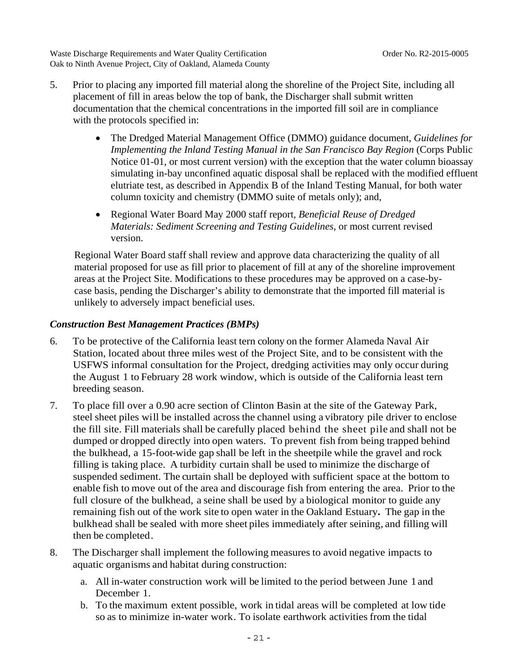- 5. Prior to placing any imported fill material along the shoreline of the Project Site, including all placement of fill in areas below the top of bank, the Discharger shall submit written documentation that the chemical concentrations in the imported fill soil are in compliance with the protocols specified in:
	- The Dredged Material Management Office (DMMO) guidance document, *Guidelines for Implementing the Inland Testing Manual in the San Francisco Bay Region* (Corps Public Notice 01-01, or most current version) with the exception that the water column bioassay simulating in-bay unconfined aquatic disposal shall be replaced with the modified effluent elutriate test, as described in Appendix B of the Inland Testing Manual, for both water column toxicity and chemistry (DMMO suite of metals only); and,
	- Regional Water Board May 2000 staff report, *Beneficial Reuse of Dredged Materials: Sediment Screening and Testing Guidelines*, or most current revised version.

Regional Water Board staff shall review and approve data characterizing the quality of all material proposed for use as fill prior to placement of fill at any of the shoreline improvement areas at the Project Site. Modifications to these procedures may be approved on a case-bycase basis, pending the Discharger's ability to demonstrate that the imported fill material is unlikely to adversely impact beneficial uses.

### *Construction Best Management Practices (BMPs)*

- 6. To be protective of the California least tern colony on the former Alameda Naval Air Station, located about three miles west of the Project Site, and to be consistent with the USFWS informal consultation for the Project, dredging activities may only occur during the August 1 to February 28 work window, which is outside of the California least tern breeding season.
- 7. To place fill over a 0.90 acre section of Clinton Basin at the site of the Gateway Park, steel sheet piles will be installed across the channel using a vibratory pile driver to enclose the fill site. Fill materials shall be carefully placed behind the sheet pile and shall not be dumped or dropped directly into open waters. To prevent fish from being trapped behind the bulkhead, a 15-foot-wide gap shall be left in the sheetpile while the gravel and rock filling is taking place. A turbidity curtain shall be used to minimize the discharge of suspended sediment. The curtain shall be deployed with sufficient space at the bottom to enable fish to move out of the area and discourage fish from entering the area. Prior to the full closure of the bulkhead, a seine shall be used by a biological monitor to guide any remaining fish out of the work site to open water in the Oakland Estuary**.** The gap in the bulkhead shall be sealed with more sheet piles immediately after seining, and filling will then be completed.
- 8. The Discharger shall implement the following measures to avoid negative impacts to aquatic organisms and habitat during construction:
	- a. All in-water construction work will be limited to the period between June 1 and December 1.
	- b. To the maximum extent possible, work in tidal areas will be completed at low tide so as to minimize in-water work. To isolate earthwork activities from the tidal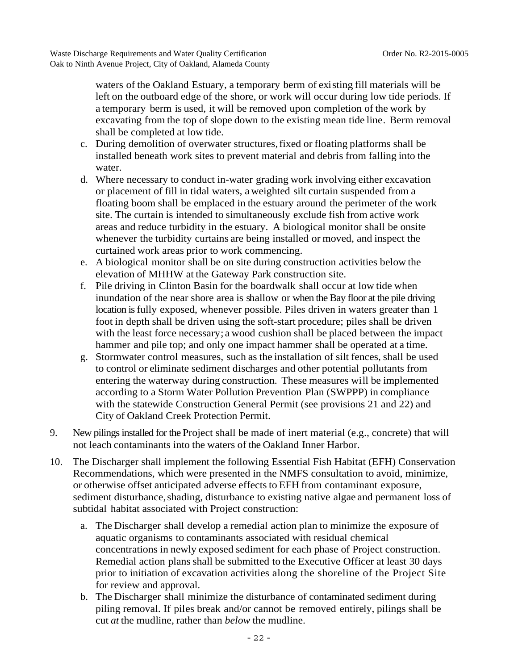waters of the Oakland Estuary, a temporary berm of existing fill materials will be left on the outboard edge of the shore, or work will occur during low tide periods. If a temporary berm is used, it will be removed upon completion of the work by excavating from the top of slope down to the existing mean tide line. Berm removal shall be completed at low tide.

- c. During demolition of overwater structures, fixed or floating platforms shall be installed beneath work sites to prevent material and debris from falling into the water.
- d. Where necessary to conduct in-water grading work involving either excavation or placement of fill in tidal waters, a weighted silt curtain suspended from a floating boom shall be emplaced in the estuary around the perimeter of the work site. The curtain is intended to simultaneously exclude fish from active work areas and reduce turbidity in the estuary. A biological monitor shall be onsite whenever the turbidity curtains are being installed or moved, and inspect the curtained work areas prior to work commencing.
- e. A biological monitor shall be on site during construction activities below the elevation of MHHW at the Gateway Park construction site.
- f. Pile driving in Clinton Basin for the boardwalk shall occur at low tide when inundation of the near shore area is shallow or when the Bay floor at the pile driving location is fully exposed, whenever possible. Piles driven in waters greater than 1 foot in depth shall be driven using the soft-start procedure; piles shall be driven with the least force necessary; a wood cushion shall be placed between the impact hammer and pile top; and only one impact hammer shall be operated at a time.
- g. Stormwater control measures, such as the installation of silt fences, shall be used to control or eliminate sediment discharges and other potential pollutants from entering the waterway during construction. These measures will be implemented according to a Storm Water Pollution Prevention Plan (SWPPP) in compliance with the statewide Construction General Permit (see provisions 21 and 22) and City of Oakland Creek Protection Permit.
- 9. New pilings installed for the Project shall be made of inert material (e.g., concrete) that will not leach contaminants into the waters of the Oakland Inner Harbor.
- 10. The Discharger shall implement the following Essential Fish Habitat (EFH) Conservation Recommendations, which were presented in the NMFS consultation to avoid, minimize, or otherwise offset anticipated adverse effects to EFH from contaminant exposure, sediment disturbance, shading, disturbance to existing native algae and permanent loss of subtidal habitat associated with Project construction:
	- a. The Discharger shall develop a remedial action plan to minimize the exposure of aquatic organisms to contaminants associated with residual chemical concentrations in newly exposed sediment for each phase of Project construction. Remedial action plans shall be submitted to the Executive Officer at least 30 days prior to initiation of excavation activities along the shoreline of the Project Site for review and approval.
	- b. The Discharger shall minimize the disturbance of contaminated sediment during piling removal. If piles break and/or cannot be removed entirely, pilings shall be cut *at* the mudline, rather than *below* the mudline.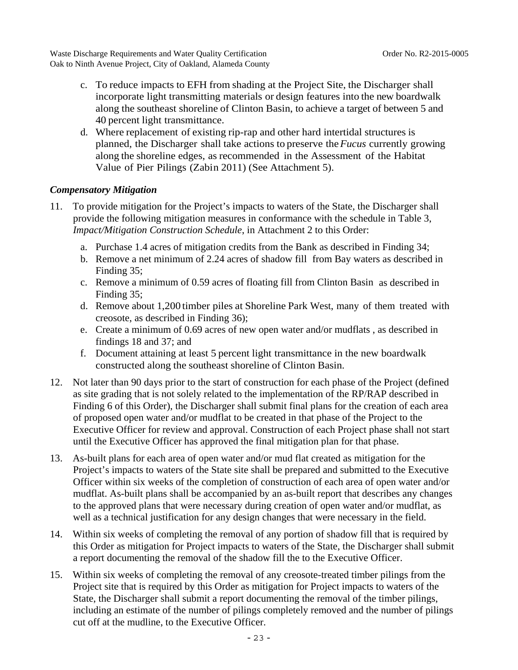- c. To reduce impacts to EFH from shading at the Project Site, the Discharger shall incorporate light transmitting materials or design features into the new boardwalk along the southeast shoreline of Clinton Basin, to achieve a target of between 5 and 40 percent light transmittance.
- d. Where replacement of existing rip-rap and other hard intertidal structures is planned, the Discharger shall take actions to preserve the *Fucus* currently growing along the shoreline edges, as recommended in the Assessment of the Habitat Value of Pier Pilings (Zabin 2011) (See Attachment 5).

# *Compensatory Mitigation*

- 11. To provide mitigation for the Project's impacts to waters of the State, the Discharger shall provide the following mitigation measures in conformance with the schedule in Table 3, *Impact/Mitigation Construction Schedule*, in Attachment 2 to this Order:
	- a. Purchase 1.4 acres of mitigation credits from the Bank as described in Finding 34;
	- b. Remove a net minimum of 2.24 acres of shadow fill from Bay waters as described in Finding 35;
	- c. Remove a minimum of 0.59 acres of floating fill from Clinton Basin as described in Finding 35;
	- d. Remove about 1,200 timber piles at Shoreline Park West, many of them treated with creosote, as described in Finding 36);
	- e. Create a minimum of 0.69 acres of new open water and/or mudflats , as described in findings 18 and 37; and
	- f. Document attaining at least 5 percent light transmittance in the new boardwalk constructed along the southeast shoreline of Clinton Basin.
- 12. Not later than 90 days prior to the start of construction for each phase of the Project (defined as site grading that is not solely related to the implementation of the RP/RAP described in Finding 6 of this Order), the Discharger shall submit final plans for the creation of each area of proposed open water and/or mudflat to be created in that phase of the Project to the Executive Officer for review and approval. Construction of each Project phase shall not start until the Executive Officer has approved the final mitigation plan for that phase.
- 13. As-built plans for each area of open water and/or mud flat created as mitigation for the Project's impacts to waters of the State site shall be prepared and submitted to the Executive Officer within six weeks of the completion of construction of each area of open water and/or mudflat. As-built plans shall be accompanied by an as-built report that describes any changes to the approved plans that were necessary during creation of open water and/or mudflat, as well as a technical justification for any design changes that were necessary in the field.
- 14. Within six weeks of completing the removal of any portion of shadow fill that is required by this Order as mitigation for Project impacts to waters of the State, the Discharger shall submit a report documenting the removal of the shadow fill the to the Executive Officer.
- 15. Within six weeks of completing the removal of any creosote-treated timber pilings from the Project site that is required by this Order as mitigation for Project impacts to waters of the State, the Discharger shall submit a report documenting the removal of the timber pilings, including an estimate of the number of pilings completely removed and the number of pilings cut off at the mudline, to the Executive Officer.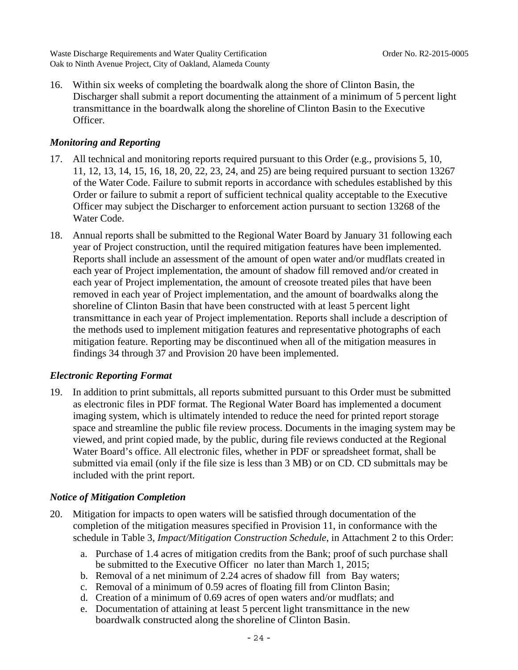16. Within six weeks of completing the boardwalk along the shore of Clinton Basin, the Discharger shall submit a report documenting the attainment of a minimum of 5 percent light transmittance in the boardwalk along the shoreline of Clinton Basin to the Executive Officer.

#### *Monitoring and Reporting*

- 17. All technical and monitoring reports required pursuant to this Order (e.g., provisions 5, 10, 11, 12, 13, 14, 15, 16, 18, 20, 22, 23, 24, and 25) are being required pursuant to section 13267 of the Water Code. Failure to submit reports in accordance with schedules established by this Order or failure to submit a report of sufficient technical quality acceptable to the Executive Officer may subject the Discharger to enforcement action pursuant to section 13268 of the Water Code.
- 18. Annual reports shall be submitted to the Regional Water Board by January 31 following each year of Project construction, until the required mitigation features have been implemented. Reports shall include an assessment of the amount of open water and/or mudflats created in each year of Project implementation, the amount of shadow fill removed and/or created in each year of Project implementation, the amount of creosote treated piles that have been removed in each year of Project implementation, and the amount of boardwalks along the shoreline of Clinton Basin that have been constructed with at least 5 percent light transmittance in each year of Project implementation. Reports shall include a description of the methods used to implement mitigation features and representative photographs of each mitigation feature. Reporting may be discontinued when all of the mitigation measures in findings 34 through 37 and Provision 20 have been implemented.

#### *Electronic Reporting Format*

19. In addition to print submittals, all reports submitted pursuant to this Order must be submitted as electronic files in PDF format. The Regional Water Board has implemented a document imaging system, which is ultimately intended to reduce the need for printed report storage space and streamline the public file review process. Documents in the imaging system may be viewed, and print copied made, by the public, during file reviews conducted at the Regional Water Board's office. All electronic files, whether in PDF or spreadsheet format, shall be submitted via email (only if the file size is less than 3 MB) or on CD. CD submittals may be included with the print report.

### *Notice of Mitigation Completion*

- 20. Mitigation for impacts to open waters will be satisfied through documentation of the completion of the mitigation measures specified in Provision 11, in conformance with the schedule in Table 3, *Impact/Mitigation Construction Schedule*, in Attachment 2 to this Order:
	- a. Purchase of 1.4 acres of mitigation credits from the Bank; proof of such purchase shall be submitted to the Executive Officer no later than March 1, 2015;
	- b. Removal of a net minimum of 2.24 acres of shadow fill from Bay waters;
	- c. Removal of a minimum of 0.59 acres of floating fill from Clinton Basin;
	- d. Creation of a minimum of 0.69 acres of open waters and/or mudflats; and
	- e. Documentation of attaining at least 5 percent light transmittance in the new boardwalk constructed along the shoreline of Clinton Basin.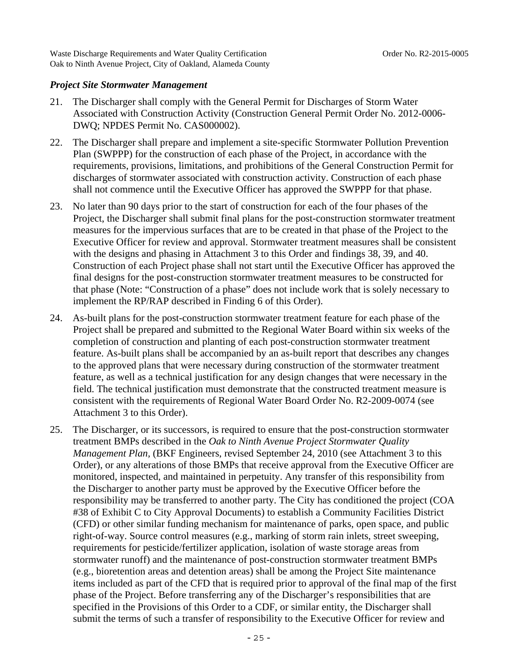#### *Project Site Stormwater Management*

- 21. The Discharger shall comply with the General Permit for Discharges of Storm Water Associated with Construction Activity (Construction General Permit Order No. 2012-0006- DWQ; NPDES Permit No. CAS000002).
- 22. The Discharger shall prepare and implement a site-specific Stormwater Pollution Prevention Plan (SWPPP) for the construction of each phase of the Project, in accordance with the requirements, provisions, limitations, and prohibitions of the General Construction Permit for discharges of stormwater associated with construction activity. Construction of each phase shall not commence until the Executive Officer has approved the SWPPP for that phase.
- 23. No later than 90 days prior to the start of construction for each of the four phases of the Project, the Discharger shall submit final plans for the post-construction stormwater treatment measures for the impervious surfaces that are to be created in that phase of the Project to the Executive Officer for review and approval. Stormwater treatment measures shall be consistent with the designs and phasing in Attachment 3 to this Order and findings 38, 39, and 40. Construction of each Project phase shall not start until the Executive Officer has approved the final designs for the post-construction stormwater treatment measures to be constructed for that phase (Note: "Construction of a phase" does not include work that is solely necessary to implement the RP/RAP described in Finding 6 of this Order).
- 24. As-built plans for the post-construction stormwater treatment feature for each phase of the Project shall be prepared and submitted to the Regional Water Board within six weeks of the completion of construction and planting of each post-construction stormwater treatment feature. As-built plans shall be accompanied by an as-built report that describes any changes to the approved plans that were necessary during construction of the stormwater treatment feature, as well as a technical justification for any design changes that were necessary in the field. The technical justification must demonstrate that the constructed treatment measure is consistent with the requirements of Regional Water Board Order No. R2-2009-0074 (see Attachment 3 to this Order).
- 25. The Discharger, or its successors, is required to ensure that the post-construction stormwater treatment BMPs described in the *Oak to Ninth Avenue Project Stormwater Quality Management Plan,* (BKF Engineers, revised September 24, 2010 (see Attachment 3 to this Order), or any alterations of those BMPs that receive approval from the Executive Officer are monitored, inspected, and maintained in perpetuity. Any transfer of this responsibility from the Discharger to another party must be approved by the Executive Officer before the responsibility may be transferred to another party. The City has conditioned the project (COA #38 of Exhibit C to City Approval Documents) to establish a Community Facilities District (CFD) or other similar funding mechanism for maintenance of parks, open space, and public right-of-way. Source control measures (e.g., marking of storm rain inlets, street sweeping, requirements for pesticide/fertilizer application, isolation of waste storage areas from stormwater runoff) and the maintenance of post-construction stormwater treatment BMPs (e.g., bioretention areas and detention areas) shall be among the Project Site maintenance items included as part of the CFD that is required prior to approval of the final map of the first phase of the Project. Before transferring any of the Discharger's responsibilities that are specified in the Provisions of this Order to a CDF, or similar entity, the Discharger shall submit the terms of such a transfer of responsibility to the Executive Officer for review and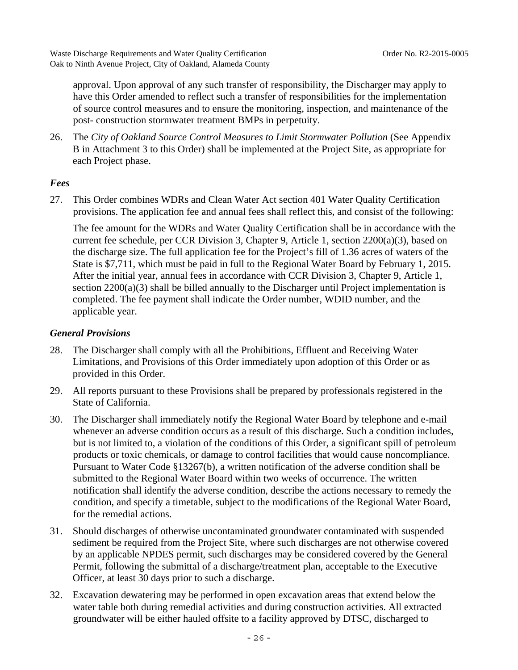approval. Upon approval of any such transfer of responsibility, the Discharger may apply to have this Order amended to reflect such a transfer of responsibilities for the implementation of source control measures and to ensure the monitoring, inspection, and maintenance of the post- construction stormwater treatment BMPs in perpetuity.

26. The *City of Oakland Source Control Measures to Limit Stormwater Pollution* (See Appendix B in Attachment 3 to this Order) shall be implemented at the Project Site, as appropriate for each Project phase.

# *Fees*

27. This Order combines WDRs and Clean Water Act section 401 Water Quality Certification provisions. The application fee and annual fees shall reflect this, and consist of the following:

 The fee amount for the WDRs and Water Quality Certification shall be in accordance with the current fee schedule, per CCR Division 3, Chapter 9, Article 1, section 2200(a)(3), based on the discharge size. The full application fee for the Project's fill of 1.36 acres of waters of the State is \$7,711, which must be paid in full to the Regional Water Board by February 1, 2015. After the initial year, annual fees in accordance with CCR Division 3, Chapter 9, Article 1, section  $2200(a)(3)$  shall be billed annually to the Discharger until Project implementation is completed. The fee payment shall indicate the Order number, WDID number, and the applicable year.

### *General Provisions*

- 28. The Discharger shall comply with all the Prohibitions, Effluent and Receiving Water Limitations, and Provisions of this Order immediately upon adoption of this Order or as provided in this Order.
- 29. All reports pursuant to these Provisions shall be prepared by professionals registered in the State of California.
- 30. The Discharger shall immediately notify the Regional Water Board by telephone and e-mail whenever an adverse condition occurs as a result of this discharge. Such a condition includes, but is not limited to, a violation of the conditions of this Order, a significant spill of petroleum products or toxic chemicals, or damage to control facilities that would cause noncompliance. Pursuant to Water Code §13267(b), a written notification of the adverse condition shall be submitted to the Regional Water Board within two weeks of occurrence. The written notification shall identify the adverse condition, describe the actions necessary to remedy the condition, and specify a timetable, subject to the modifications of the Regional Water Board, for the remedial actions.
- 31. Should discharges of otherwise uncontaminated groundwater contaminated with suspended sediment be required from the Project Site, where such discharges are not otherwise covered by an applicable NPDES permit, such discharges may be considered covered by the General Permit, following the submittal of a discharge/treatment plan, acceptable to the Executive Officer, at least 30 days prior to such a discharge.
- 32. Excavation dewatering may be performed in open excavation areas that extend below the water table both during remedial activities and during construction activities. All extracted groundwater will be either hauled offsite to a facility approved by DTSC, discharged to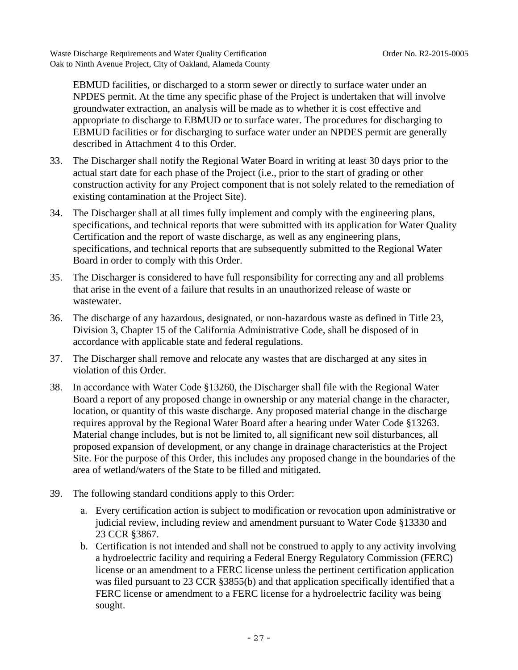EBMUD facilities, or discharged to a storm sewer or directly to surface water under an NPDES permit. At the time any specific phase of the Project is undertaken that will involve groundwater extraction, an analysis will be made as to whether it is cost effective and appropriate to discharge to EBMUD or to surface water. The procedures for discharging to EBMUD facilities or for discharging to surface water under an NPDES permit are generally described in Attachment 4 to this Order.

- 33. The Discharger shall notify the Regional Water Board in writing at least 30 days prior to the actual start date for each phase of the Project (i.e., prior to the start of grading or other construction activity for any Project component that is not solely related to the remediation of existing contamination at the Project Site).
- 34. The Discharger shall at all times fully implement and comply with the engineering plans, specifications, and technical reports that were submitted with its application for Water Quality Certification and the report of waste discharge, as well as any engineering plans, specifications, and technical reports that are subsequently submitted to the Regional Water Board in order to comply with this Order.
- 35. The Discharger is considered to have full responsibility for correcting any and all problems that arise in the event of a failure that results in an unauthorized release of waste or wastewater.
- 36. The discharge of any hazardous, designated, or non-hazardous waste as defined in Title 23, Division 3, Chapter 15 of the California Administrative Code, shall be disposed of in accordance with applicable state and federal regulations.
- 37. The Discharger shall remove and relocate any wastes that are discharged at any sites in violation of this Order.
- 38. In accordance with Water Code §13260, the Discharger shall file with the Regional Water Board a report of any proposed change in ownership or any material change in the character, location, or quantity of this waste discharge. Any proposed material change in the discharge requires approval by the Regional Water Board after a hearing under Water Code §13263. Material change includes, but is not be limited to, all significant new soil disturbances, all proposed expansion of development, or any change in drainage characteristics at the Project Site. For the purpose of this Order, this includes any proposed change in the boundaries of the area of wetland/waters of the State to be filled and mitigated.
- 39. The following standard conditions apply to this Order:
	- a. Every certification action is subject to modification or revocation upon administrative or judicial review, including review and amendment pursuant to Water Code §13330 and 23 CCR §3867.
	- b. Certification is not intended and shall not be construed to apply to any activity involving a hydroelectric facility and requiring a Federal Energy Regulatory Commission (FERC) license or an amendment to a FERC license unless the pertinent certification application was filed pursuant to 23 CCR §3855(b) and that application specifically identified that a FERC license or amendment to a FERC license for a hydroelectric facility was being sought.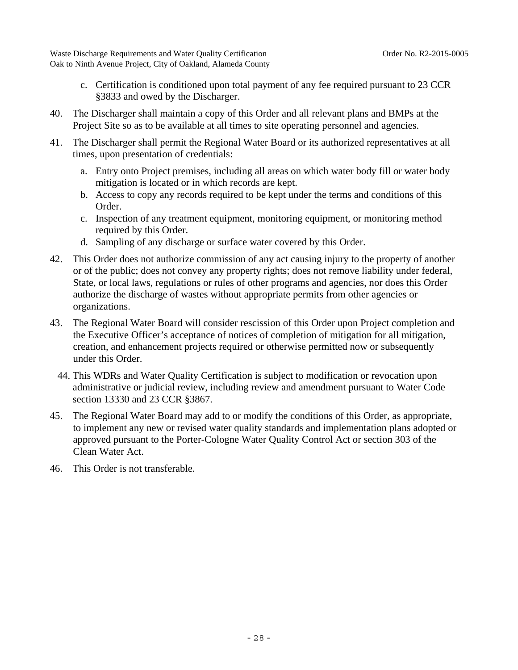- c. Certification is conditioned upon total payment of any fee required pursuant to 23 CCR §3833 and owed by the Discharger.
- 40. The Discharger shall maintain a copy of this Order and all relevant plans and BMPs at the Project Site so as to be available at all times to site operating personnel and agencies.
- 41. The Discharger shall permit the Regional Water Board or its authorized representatives at all times, upon presentation of credentials:
	- a. Entry onto Project premises, including all areas on which water body fill or water body mitigation is located or in which records are kept.
	- b. Access to copy any records required to be kept under the terms and conditions of this Order.
	- c. Inspection of any treatment equipment, monitoring equipment, or monitoring method required by this Order.
	- d. Sampling of any discharge or surface water covered by this Order.
- 42. This Order does not authorize commission of any act causing injury to the property of another or of the public; does not convey any property rights; does not remove liability under federal, State, or local laws, regulations or rules of other programs and agencies, nor does this Order authorize the discharge of wastes without appropriate permits from other agencies or organizations.
- 43. The Regional Water Board will consider rescission of this Order upon Project completion and the Executive Officer's acceptance of notices of completion of mitigation for all mitigation, creation, and enhancement projects required or otherwise permitted now or subsequently under this Order.
	- 44. This WDRs and Water Quality Certification is subject to modification or revocation upon administrative or judicial review, including review and amendment pursuant to Water Code section 13330 and 23 CCR §3867.
- 45. The Regional Water Board may add to or modify the conditions of this Order, as appropriate, to implement any new or revised water quality standards and implementation plans adopted or approved pursuant to the Porter-Cologne Water Quality Control Act or section 303 of the Clean Water Act.
- 46. This Order is not transferable.